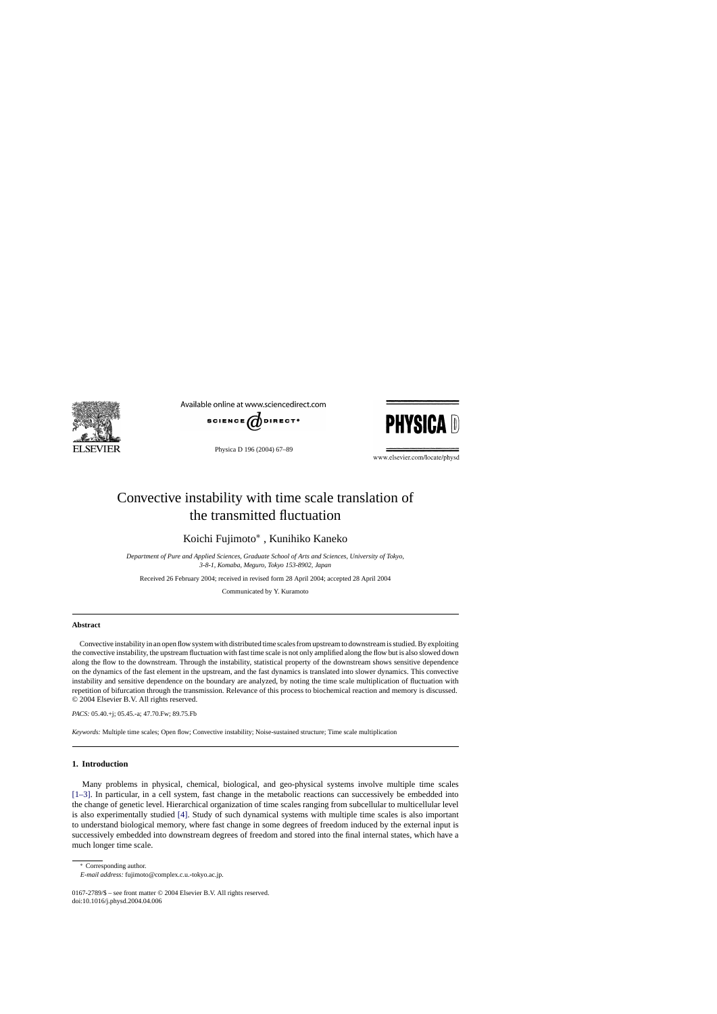

Available online at www.sciencedirect.com



Physica D 196 (2004) 67–89



www.elsevier.com/locate/physd

# Convective instability with time scale translation of the transmitted fluctuation

Koichi Fujimoto<sup>∗</sup> , Kunihiko Kaneko

*Department of Pure and Applied Sciences, Graduate School of Arts and Sciences, University of Tokyo, 3-8-1, Komaba, Meguro, Tokyo 153-8902, Japan*

Received 26 February 2004; received in revised form 28 April 2004; accepted 28 April 2004

Communicated by Y. Kuramoto

#### **Abstract**

Convective instability in an open flow system with distributed time scales from upstream to downstream is studied. By exploiting the convective instability, the upstream fluctuation with fast time scale is not only amplified along the flow but is also slowed down along the flow to the downstream. Through the instability, statistical property of the downstream shows sensitive dependence on the dynamics of the fast element in the upstream, and the fast dynamics is translated into slower dynamics. This convective instability and sensitive dependence on the boundary are analyzed, by noting the time scale multiplication of fluctuation with repetition of bifurcation through the transmission. Relevance of this process to biochemical reaction and memory is discussed. © 2004 Elsevier B.V. All rights reserved.

*PACS:* 05.40.+j; 05.45.-a; 47.70.Fw; 89.75.Fb

*Keywords:* Multiple time scales; Open flow; Convective instability; Noise-sustained structure; Time scale multiplication

## **1. Introduction**

Many problems in physical, chemical, biological, and geo-physical systems involve multiple time scales [\[1–3\].](#page-22-0) In particular, in a cell system, fast change in the metabolic reactions can successively be embedded into the change of genetic level. Hierarchical organization of time scales ranging from subcellular to multicellular level is also experimentally studied [\[4\].](#page-22-0) Study of such dynamical systems with multiple time scales is also important to understand biological memory, where fast change in some degrees of freedom induced by the external input is successively embedded into downstream degrees of freedom and stored into the final internal states, which have a much longer time scale.

<sup>∗</sup> Corresponding author.

*E-mail address:* fujimoto@complex.c.u.-tokyo.ac.jp.

<sup>0167-2789/\$ –</sup> see front matter © 2004 Elsevier B.V. All rights reserved. doi:10.1016/j.physd.2004.04.006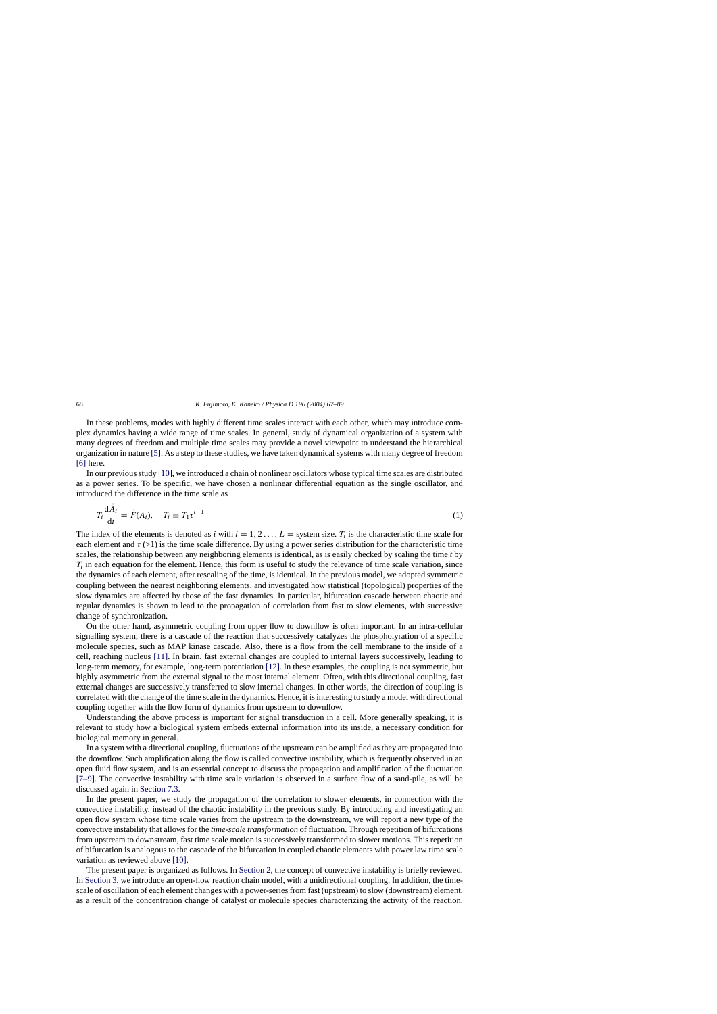#### <span id="page-1-0"></span>68 *K. Fujimoto, K. Kaneko / Physica D 196 (2004) 67–89*

In these problems, modes with highly different time scales interact with each other, which may introduce complex dynamics having a wide range of time scales. In general, study of dynamical organization of a system with many degrees of freedom and multiple time scales may provide a novel viewpoint to understand the hierarchical organization in nature [\[5\]. A](#page-22-0)s a step to these studies, we have taken dynamical systems with many degree of freedom [\[6\]](#page-22-0) here.

In our previous study [\[10\], w](#page-22-0)e introduced a chain of nonlinear oscillators whose typical time scales are distributed as a power series. To be specific, we have chosen a nonlinear differential equation as the single oscillator, and introduced the difference in the time scale as

$$
T_i \frac{\mathrm{d}\vec{A}_i}{\mathrm{d}t} = \vec{F}(\vec{A}_i), \quad T_i \equiv T_1 \tau^{i-1} \tag{1}
$$

The index of the elements is denoted as *i* with  $i = 1, 2, \ldots, L =$  system size.  $T_i$  is the characteristic time scale for each element and  $\tau$  (>1) is the time scale difference. By using a power series distribution for the characteristic time scales, the relationship between any neighboring elements is identical, as is easily checked by scaling the time *t* by  $T_i$  in each equation for the element. Hence, this form is useful to study the relevance of time scale variation, since the dynamics of each element, after rescaling of the time, is identical. In the previous model, we adopted symmetric coupling between the nearest neighboring elements, and investigated how statistical (topological) properties of the slow dynamics are affected by those of the fast dynamics. In particular, bifurcation cascade between chaotic and regular dynamics is shown to lead to the propagation of correlation from fast to slow elements, with successive change of synchronization.

On the other hand, asymmetric coupling from upper flow to downflow is often important. In an intra-cellular signalling system, there is a cascade of the reaction that successively catalyzes the phospholyration of a specific molecule species, such as MAP kinase cascade. Also, there is a flow from the cell membrane to the inside of a cell, reaching nucleus [\[11\].](#page-22-0) In brain, fast external changes are coupled to internal layers successively, leading to long-term memory, for example, long-term potentiation [\[12\]. I](#page-22-0)n these examples, the coupling is not symmetric, but highly asymmetric from the external signal to the most internal element. Often, with this directional coupling, fast external changes are successively transferred to slow internal changes. In other words, the direction of coupling is correlated with the change of the time scale in the dynamics. Hence, it is interesting to study a model with directional coupling together with the flow form of dynamics from upstream to downflow.

Understanding the above process is important for signal transduction in a cell. More generally speaking, it is relevant to study how a biological system embeds external information into its inside, a necessary condition for biological memory in general.

In a system with a directional coupling, fluctuations of the upstream can be amplified as they are propagated into the downflow. Such amplification along the flow is called convective instability, which is frequently observed in an open fluid flow system, and is an essential concept to discuss the propagation and amplification of the fluctuation [\[7–9\].](#page-22-0) The convective instability with time scale variation is observed in a surface flow of a sand-pile, as will be discussed again in [Section 7.3.](#page-19-0)

In the present paper, we study the propagation of the correlation to slower elements, in connection with the convective instability, instead of the chaotic instability in the previous study. By introducing and investigating an open flow system whose time scale varies from the upstream to the downstream, we will report a new type of the convective instability that allows for the *time-scale transformation* of fluctuation. Through repetition of bifurcations from upstream to downstream, fast time scale motion is successively transformed to slower motions. This repetition of bifurcation is analogous to the cascade of the bifurcation in coupled chaotic elements with power law time scale variation as reviewed above [\[10\].](#page-22-0)

The present paper is organized as follows. In [Section 2, t](#page-2-0)he concept of convective instability is briefly reviewed. In [Section 3, w](#page-3-0)e introduce an open-flow reaction chain model, with a unidirectional coupling. In addition, the timescale of oscillation of each element changes with a power-series from fast (upstream) to slow (downstream) element, as a result of the concentration change of catalyst or molecule species characterizing the activity of the reaction.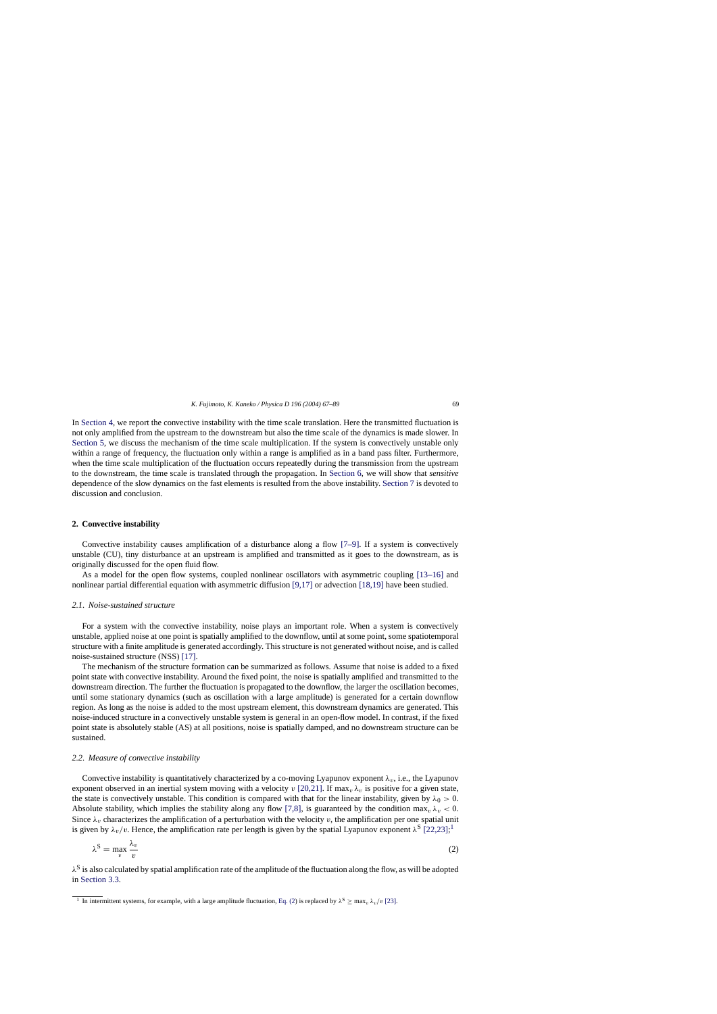<span id="page-2-0"></span>In [Section 4, w](#page-7-0)e report the convective instability with the time scale translation. Here the transmitted fluctuation is not only amplified from the upstream to the downstream but also the time scale of the dynamics is made slower. In [Section 5,](#page-8-0) we discuss the mechanism of the time scale multiplication. If the system is convectively unstable only within a range of frequency, the fluctuation only within a range is amplified as in a band pass filter. Furthermore, when the time scale multiplication of the fluctuation occurs repeatedly during the transmission from the upstream to the downstream, the time scale is translated through the propagation. In [Section 6,](#page-14-0) we will show that *sensitive* dependence of the slow dynamics on the fast elements is resulted from the above instability. [Section 7](#page-17-0) is devoted to discussion and conclusion.

## **2. Convective instability**

Convective instability causes amplification of a disturbance along a flow [\[7–9\].](#page-22-0) If a system is convectively unstable (CU), tiny disturbance at an upstream is amplified and transmitted as it goes to the downstream, as is originally discussed for the open fluid flow.

As a model for the open flow systems, coupled nonlinear oscillators with asymmetric coupling [\[13–16\]](#page-22-0) and nonlinear partial differential equation with asymmetric diffusion [\[9,17\]](#page-22-0) or advection [\[18,19\]](#page-22-0) have been studied.

## *2.1. Noise-sustained structure*

For a system with the convective instability, noise plays an important role. When a system is convectively unstable, applied noise at one point is spatially amplified to the downflow, until at some point, some spatiotemporal structure with a finite amplitude is generated accordingly. This structure is not generated without noise, and is called noise-sustained structure (NSS) [\[17\].](#page-22-0)

The mechanism of the structure formation can be summarized as follows. Assume that noise is added to a fixed point state with convective instability. Around the fixed point, the noise is spatially amplified and transmitted to the downstream direction. The further the fluctuation is propagated to the downflow, the larger the oscillation becomes, until some stationary dynamics (such as oscillation with a large amplitude) is generated for a certain downflow region. As long as the noise is added to the most upstream element, this downstream dynamics are generated. This noise-induced structure in a convectively unstable system is general in an open-flow model. In contrast, if the fixed point state is absolutely stable (AS) at all positions, noise is spatially damped, and no downstream structure can be sustained.

#### *2.2. Measure of convective instability*

Convective instability is quantitatively characterized by a co-moving Lyapunov exponent  $\lambda_v$ , i.e., the Lyapunov exponent observed in an inertial system moving with a velocity v [\[20,21\]. I](#page-22-0)f max<sub>v</sub>  $\lambda_v$  is positive for a given state, the state is convectively unstable. This condition is compared with that for the linear instability, given by  $\lambda_0 > 0$ . Absolute stability, which implies the stability along any flow [\[7,8\],](#page-22-0) is guaranteed by the condition max<sub>v</sub>  $\lambda_v < 0$ . Since  $\lambda_v$  characterizes the amplification of a perturbation with the velocity v, the amplification per one spatial unit is given by  $\lambda_v/v$ . Hence, the amplification rate per length is given by the spatial Lyapunov exponent  $\lambda^S$  [\[22,23\];](#page-22-0)<sup>1</sup>

$$
\lambda^{\mathcal{S}} = \max_{v} \frac{\lambda_v}{v} \tag{2}
$$

 $\lambda^S$  is also calculated by spatial amplification rate of the amplitude of the fluctuation along the flow, as will be adopted in [Section 3.3.](#page-5-0)

<sup>&</sup>lt;sup>1</sup> In intermittent systems, for example, with a large amplitude fluctuation, Eq. (2) is replaced by  $\lambda^S \ge \max_v \lambda_v/v$  [\[23\].](#page-22-0)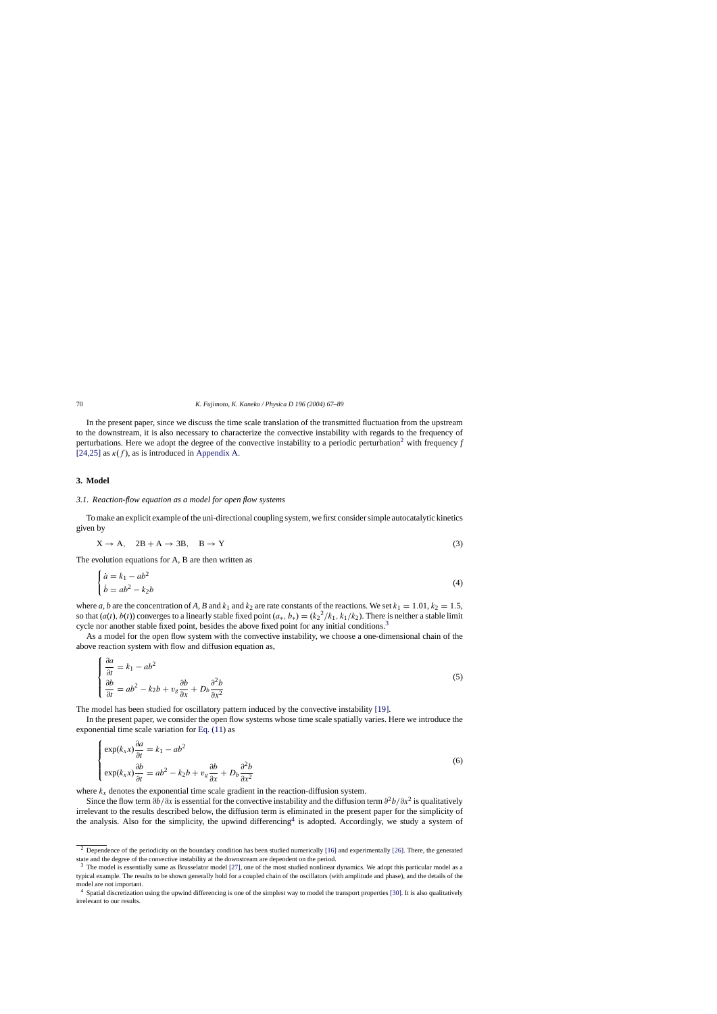<span id="page-3-0"></span>In the present paper, since we discuss the time scale translation of the transmitted fluctuation from the upstream to the downstream, it is also necessary to characterize the convective instability with regards to the frequency of perturbations. Here we adopt the degree of the convective instability to a periodic perturbation<sup>2</sup> with frequency  $f$ [\[24,25\]](#page-22-0) as  $\kappa(f)$ , as is introduced in [Appendix A.](#page-20-0)

#### **3. Model**

## *3.1. Reaction-flow equation as a model for open flow systems*

To make an explicit example of the uni-directional coupling system, we first consider simple autocatalytic kinetics given by

$$
X \to A, \quad 2B + A \to 3B, \quad B \to Y \tag{3}
$$

The evolution equations for A, B are then written as

$$
\begin{cases} \n\dot{a} = k_1 - ab^2\\ \n\dot{b} = ab^2 - k_2 b \n\end{cases} \tag{4}
$$

where *a*, *b* are the concentration of *A*, *B* and  $k_1$  and  $k_2$  are rate constants of the reactions. We set  $k_1 = 1.01$ ,  $k_2 = 1.5$ , so that  $(a(t), b(t))$  converges to a linearly stable fixed point  $(a_*, b_*) = (k_2^2/k_1, k_1/k_2)$ . There is neither a stable limit cycle nor another stable fixed point, besides the above fixed point for any initial conditions.<sup>3</sup>

As a model for the open flow system with the convective instability, we choose a one-dimensional chain of the above reaction system with flow and diffusion equation as,

$$
\begin{cases} \frac{\partial a}{\partial t} = k_1 - ab^2\\ \frac{\partial b}{\partial t} = ab^2 - k_2b + v_g \frac{\partial b}{\partial x} + D_b \frac{\partial^2 b}{\partial x^2} \end{cases}
$$
(5)

The model has been studied for oscillatory pattern induced by the convective instability [\[19\].](#page-22-0)

In the present paper, we consider the open flow systems whose time scale spatially varies. Here we introduce the exponential time scale variation for [Eq. \(11\)](#page-4-0) as

$$
\begin{cases}\n\exp(k_x x) \frac{\partial a}{\partial t} = k_1 - ab^2 \\
\exp(k_x x) \frac{\partial b}{\partial t} = ab^2 - k_2 b + v_g \frac{\partial b}{\partial x} + D_b \frac{\partial^2 b}{\partial x^2}\n\end{cases}
$$
\n(6)

where  $k_x$  denotes the exponential time scale gradient in the reaction-diffusion system.

Since the flow term  $\partial b/\partial x$  is essential for the convective instability and the diffusion term  $\partial^2 b/\partial x^2$  is qualitatively irrelevant to the results described below, the diffusion term is eliminated in the present paper for the simplicity of the analysis. Also for the simplicity, the upwind differencing<sup>4</sup> is adopted. Accordingly, we study a system of

<sup>&</sup>lt;sup>2</sup> Dependence of the periodicity on the boundary condition has been studied numerically [\[16\]](#page-22-0) [a](#page-22-0)nd experimentally [\[26\]. T](#page-22-0)here, the generated state and the degree of the convective instability at the downstream are dependent on the period.

<sup>&</sup>lt;sup>3</sup> The model is essentially same as Brusselator model [\[27\], o](#page-22-0)ne of the most studied nonlinear dynamics. We adopt this particular model as a typical example. The results to be shown generally hold for a coupled chain of the oscillators (with amplitude and phase), and the details of the model are not important.

<sup>4</sup> Spatial discretization using the upwind differencing is one of the simplest way to model the transport properties [\[30\]. I](#page-22-0)t is also qualitatively irrelevant to our results.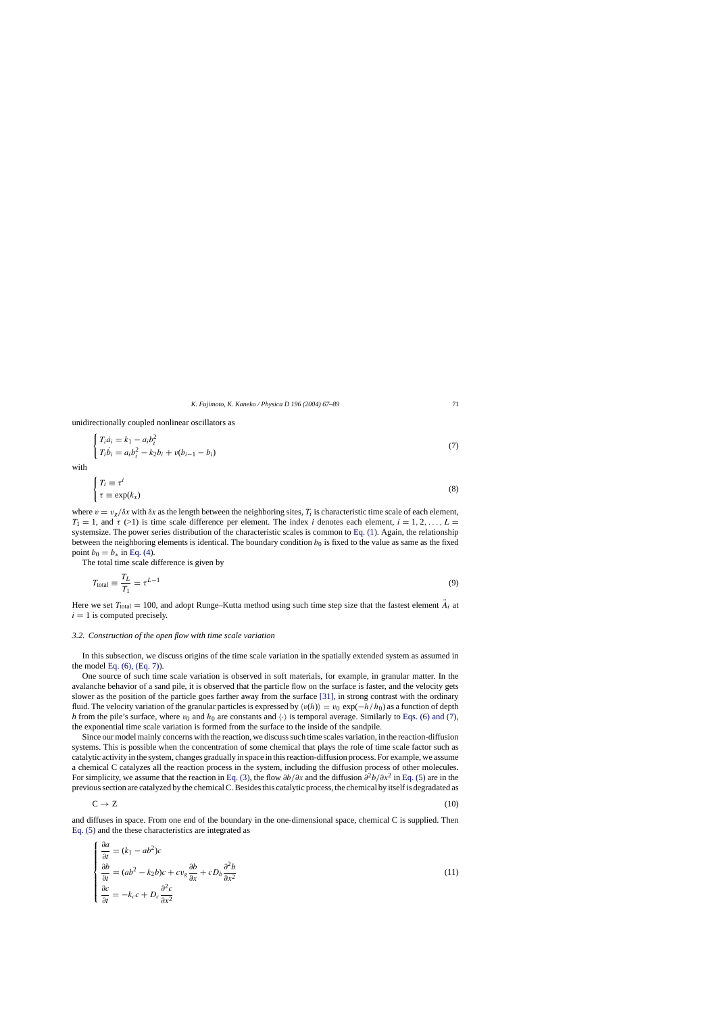<span id="page-4-0"></span>unidirectionally coupled nonlinear oscillators as

$$
\begin{cases}\nT_i \dot{a}_i = k_1 - a_i b_i^2 \\
T_i \dot{b}_i = a_i b_i^2 - k_2 b_i + v(b_{i-1} - b_i)\n\end{cases} (7)
$$

with

$$
\begin{cases}\nT_i \equiv \tau^i \\
\tau \equiv \exp(k_x)\n\end{cases} \n\tag{8}
$$

where  $v = v_g/\delta x$  with  $\delta x$  as the length between the neighboring sites,  $T_i$  is characteristic time scale of each element,  $T_1 = 1$ , and  $\tau$  (>1) is time scale difference per element. The index *i* denotes each element,  $i = 1, 2, \ldots, L =$ systemsize. The power series distribution of the characteristic scales is common to [Eq. \(1\).](#page-1-0) Again, the relationship between the neighboring elements is identical. The boundary condition  $b<sub>0</sub>$  is fixed to the value as same as the fixed point  $b_0 = b_*$  in [Eq. \(4\).](#page-3-0)

The total time scale difference is given by

$$
T_{\text{total}} \equiv \frac{T_L}{T_1} = \tau^{L-1} \tag{9}
$$

Here we set  $T_{\text{total}} = 100$ , and adopt Runge–Kutta method using such time step size that the fastest element  $\vec{A}_i$  at  $i = 1$  is computed precisely.

## *3.2. Construction of the open flow with time scale variation*

In this subsection, we discuss origins of the time scale variation in the spatially extended system as assumed in the model [Eq. \(6\), \(Eq. 7\)\).](#page-3-0)

One source of such time scale variation is observed in soft materials, for example, in granular matter. In the avalanche behavior of a sand pile, it is observed that the particle flow on the surface is faster, and the velocity gets slower as the position of the particle goes farther away from the surface [\[31\],](#page-22-0) in strong contrast with the ordinary fluid. The velocity variation of the granular particles is expressed by  $\langle v(h) \rangle = v_0 \exp(-h/h_0)$  as a function of depth *h* from the pile's surface, where  $v_0$  and  $h_0$  are constants and  $\langle \cdot \rangle$  is temporal average. Similarly to [Eqs. \(6\) and \(7\),](#page-3-0) the exponential time scale variation is formed from the surface to the inside of the sandpile.

Since our model mainly concerns with the reaction, we discuss such time scales variation, in the reaction-diffusion systems. This is possible when the concentration of some chemical that plays the role of time scale factor such as catalytic activity in the system, changes gradually in space in this reaction-diffusion process. For example, we assume a chemical C catalyzes all the reaction process in the system, including the diffusion process of other molecules. For simplicity, we assume that the reaction in [Eq. \(3\),](#page-3-0) the flow  $\partial b/\partial x$  and the diffusion  $\partial^2 b/\partial x^2$  in [Eq. \(5\)](#page-3-0) are in the previous section are catalyzed by the chemical C. Besides this catalytic process, the chemical by itself is degradated as

$$
C \to Z \tag{10}
$$

and diffuses in space. From one end of the boundary in the one-dimensional space, chemical C is supplied. Then [Eq. \(5\)](#page-3-0) and the these characteristics are integrated as

$$
\begin{cases}\n\frac{\partial a}{\partial t} = (k_1 - ab^2)c \\
\frac{\partial b}{\partial t} = (ab^2 - k_2b)c + cv_g \frac{\partial b}{\partial x} + cD_b \frac{\partial^2 b}{\partial x^2} \\
\frac{\partial c}{\partial t} = -k_c c + D_c \frac{\partial^2 c}{\partial x^2}\n\end{cases}
$$
\n(11)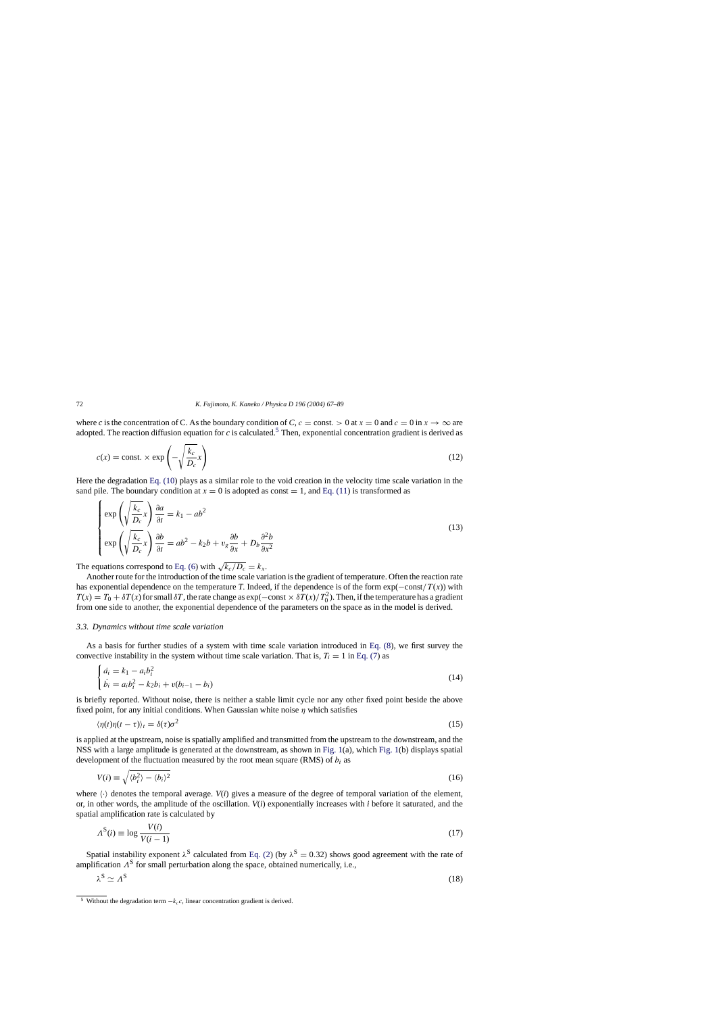<span id="page-5-0"></span>where *c* is the concentration of C. As the boundary condition of *C*,  $c =$  const. > 0 at  $x = 0$  and  $c = 0$  in  $x \to \infty$  are adopted. The reaction diffusion equation for *c* is calculated.<sup>5</sup> Then, exponential concentration gradient is derived as

$$
c(x) = \text{const.} \times \exp\left(-\sqrt{\frac{k_c}{D_c}}x\right) \tag{12}
$$

Here the degradation [Eq. \(10\)](#page-4-0) plays as a similar role to the void creation in the velocity time scale variation in the sand pile. The boundary condition at  $x = 0$  is adopted as const = 1, and [Eq. \(11\)](#page-4-0) is transformed as

$$
\begin{cases}\n\exp\left(\sqrt{\frac{k_c}{D_c}}x\right)\frac{\partial a}{\partial t} = k_1 - ab^2 \\
\exp\left(\sqrt{\frac{k_c}{D_c}}x\right)\frac{\partial b}{\partial t} = ab^2 - k_2b + v_g\frac{\partial b}{\partial x} + D_b\frac{\partial^2 b}{\partial x^2}\n\end{cases}
$$
\n(13)

The equations correspond to [Eq. \(6\)](#page-3-0) with  $\sqrt{k_c/D_c} = k_x$ .

Another route for the introduction of the time scale variation is the gradient of temperature. Often the reaction rate has exponential dependence on the temperature *T*. Indeed, if the dependence is of the form  $\exp(-\text{const}/T(x))$  with  $T(x) = T_0 + \delta T(x)$  for small  $\delta T$ , the rate change as exp( $-\text{const} \times \delta T(x)/T_0^2$ ). Then, if the temperature has a gradient from one side to another, the exponential dependence of the parameters on the space as in the model is derived.

## *3.3. Dynamics without time scale variation*

As a basis for further studies of a system with time scale variation introduced in [Eq. \(8\),](#page-4-0) we first survey the convective instability in the system without time scale variation. That is,  $T_i = 1$  in [Eq. \(7\)](#page-4-0) as

$$
\begin{cases}\n\dot{a}_i = k_1 - a_i b_i^2 \\
\dot{b}_i = a_i b_i^2 - k_2 b_i + v(b_{i-1} - b_i)\n\end{cases}
$$
\n(14)

is briefly reported. Without noise, there is neither a stable limit cycle nor any other fixed point beside the above fixed point, for any initial conditions. When Gaussian white noise  $\eta$  which satisfies

$$
\langle \eta(t)\eta(t-\tau) \rangle_t = \delta(\tau)\sigma^2 \tag{15}
$$

is applied at the upstream, noise is spatially amplified and transmitted from the upstream to the downstream, and the NSS with a large amplitude is generated at the downstream, as shown in [Fig. 1\(a](#page-6-0)), which [Fig. 1\(b](#page-6-0)) displays spatial development of the fluctuation measured by the root mean square (RMS) of  $b_i$  as

$$
V(i) \equiv \sqrt{\langle b_i^2 \rangle - \langle b_i \rangle^2} \tag{16}
$$

where  $\langle \cdot \rangle$  denotes the temporal average. *V*(*i*) gives a measure of the degree of temporal variation of the element, or, in other words, the amplitude of the oscillation. *V*(*i*) exponentially increases with *i* before it saturated, and the spatial amplification rate is calculated by

$$
\Lambda^{S}(i) \equiv \log \frac{V(i)}{V(i-1)}\tag{17}
$$

Spatial instability exponent  $\lambda^S$  calculated from [Eq. \(2\)](#page-2-0) (by  $\lambda^S = 0.32$ ) shows good agreement with the rate of amplification  $\Lambda^S$  for small perturbation along the space, obtained numerically, i.e.,

$$
\lambda^{\rm S} \simeq \Lambda^{\rm S} \tag{18}
$$

<sup>&</sup>lt;sup>5</sup> Without the degradation term  $-k<sub>c</sub>c$ , linear concentration gradient is derived.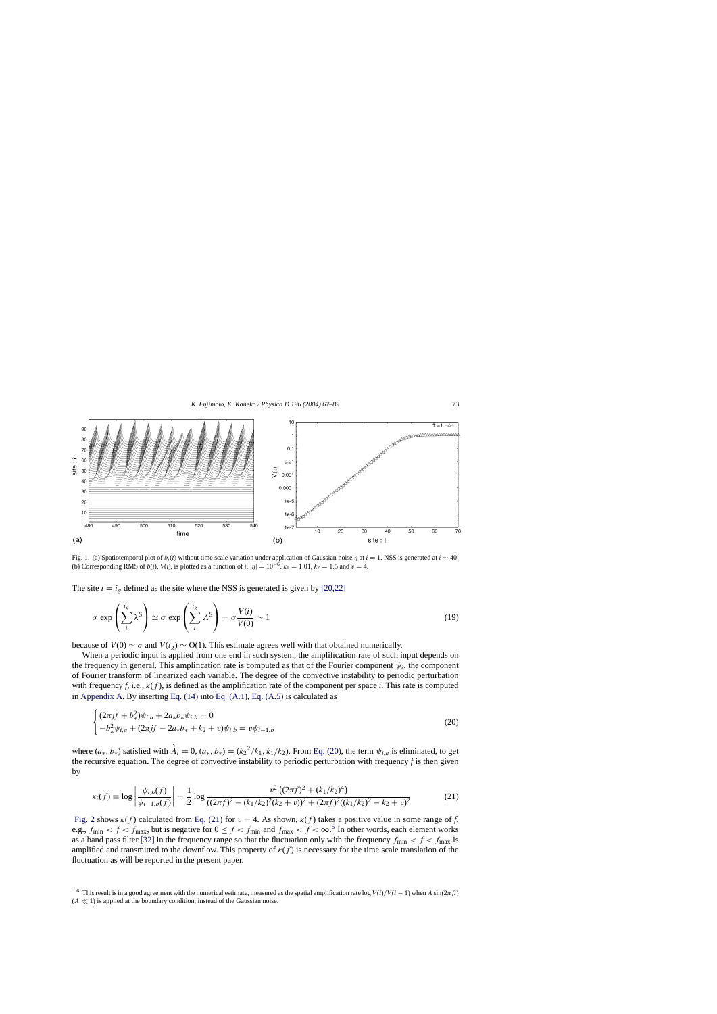<span id="page-6-0"></span>

Fig. 1. (a) Spatiotemporal plot of  $b_i(t)$  without time scale variation under application of Gaussian noise  $\eta$  at  $i = 1$ . NSS is generated at  $i \sim 40$ . (b) Corresponding RMS of  $b(i)$ ,  $V(i)$ , is plotted as a function of *i*.  $|\eta| = 10^{-6}$ .  $k_1 = 1.01$ ,  $k_2 = 1.5$  and  $v = 4$ .

The site  $i = i_g$  defined as the site where the NSS is generated is given by [\[20,22\]](#page-22-0)

$$
\sigma \exp\left(\sum_{i}^{i_{g}} \lambda^{S}\right) \simeq \sigma \exp\left(\sum_{i}^{i_{g}} \Lambda^{S}\right) = \sigma \frac{V(i)}{V(0)} \sim 1
$$
\n(19)

because of  $V(0) \sim \sigma$  and  $V(i_g) \sim O(1)$ . This estimate agrees well with that obtained numerically.

When a periodic input is applied from one end in such system, the amplification rate of such input depends on the frequency in general. This amplification rate is computed as that of the Fourier component  $\psi_i$ , the component of Fourier transform of linearized each variable. The degree of the convective instability to periodic perturbation with frequency *f*, i.e.,  $\kappa(f)$ , is defined as the amplification rate of the component per space *i*. This rate is computed in [Appendix A. B](#page-20-0)y inserting [Eq. \(14\)](#page-5-0) into [Eq. \(A.1\),](#page-20-0) [Eq. \(A.5\)](#page-21-0) is calculated as

$$
\begin{cases}\n(2\pi j f + b_{*}^{2})\psi_{i,a} + 2a_{*}b_{*}\psi_{i,b} = 0 \\
-b_{*}^{2}\psi_{i,a} + (2\pi j f - 2a_{*}b_{*} + k_{2} + v)\psi_{i,b} = v\psi_{i-1,b}\n\end{cases}
$$
\n(20)

where  $(a_*, b_*)$  satisfied with  $\dot{A}_i = 0$ ,  $(a_*, b_*) = (k_2^2/k_1, k_1/k_2)$ . From Eq. (20), the term  $\psi_{i,a}$  is eliminated, to get the recursive equation. The degree of convective instability to periodic perturbation with frequency *f* is then given by

$$
\kappa_i(f) \equiv \log \left| \frac{\psi_{i,b}(f)}{\psi_{i-1,b}(f)} \right| = \frac{1}{2} \log \frac{v^2 \left( (2\pi f)^2 + (k_1/k_2)^4 \right)}{((2\pi f)^2 - (k_1/k_2)^2 (k_2 + v))^2 + (2\pi f)^2 ((k_1/k_2)^2 - k_2 + v)^2}
$$
(21)

[Fig. 2](#page-7-0) shows  $\kappa(f)$  calculated from Eq. (21) for  $v = 4$ . As shown,  $\kappa(f)$  takes a positive value in some range of f, e.g.,  $f_{\text{min}} < f < f_{\text{max}}$ , but is negative for  $0 \le f < f_{\text{min}}$  and  $f_{\text{max}} < f < \infty$ .<sup>6</sup> In other words, each element works as a band pass filter [\[32\]](#page-22-0) in the frequency range so that the fluctuation only with the frequency  $f_{\text{min}} < f < f_{\text{max}}$  is amplified and transmitted to the downflow. This property of  $\kappa(f)$  is necessary for the time scale translation of the fluctuation as will be reported in the present paper.

<sup>&</sup>lt;sup>6</sup> This result is in a good agreement with the numerical estimate, measured as the spatial amplification rate log  $V(i)/V(i - 1)$  when A sin( $2\pi ft$ )  $(A \ll 1)$  is applied at the boundary condition, instead of the Gaussian noise.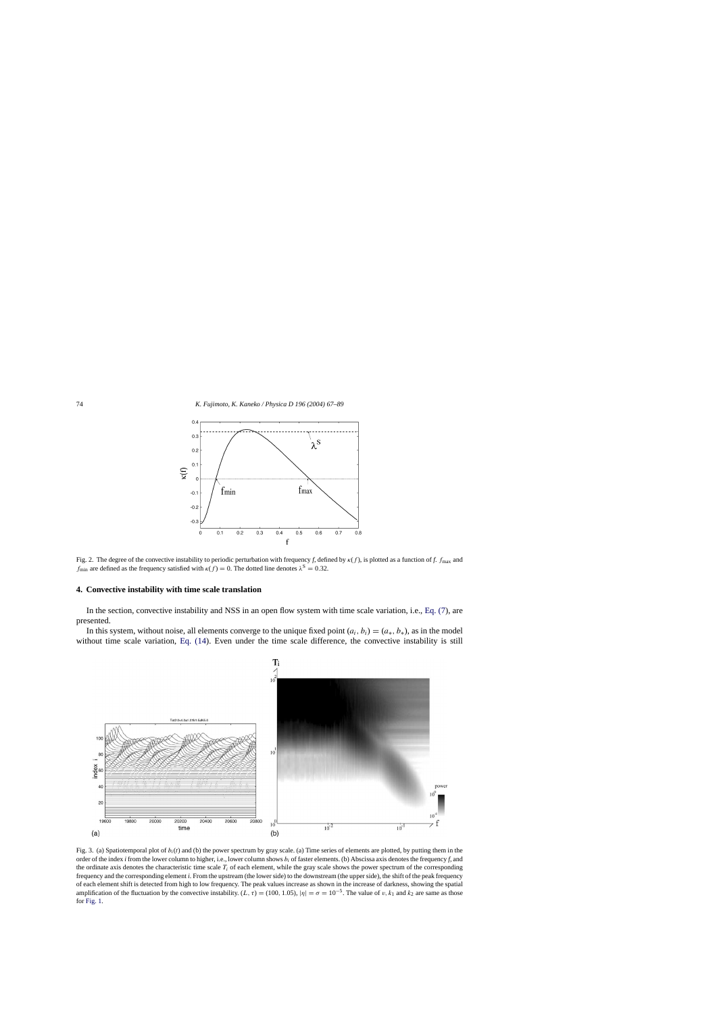<span id="page-7-0"></span>

Fig. 2. The degree of the convective instability to periodic perturbation with frequency *f*, defined by κ(f ), is plotted as a function of *f*. fmax and  $f_{\text{min}}$  are defined as the frequency satisfied with  $\kappa(f) = 0$ . The dotted line denotes  $\lambda^S = 0.32$ .

#### **4. Convective instability with time scale translation**

In the section, convective instability and NSS in an open flow system with time scale variation, i.e., [Eq. \(7\),](#page-4-0) are presented.

In this system, without noise, all elements converge to the unique fixed point  $(a_i, b_i) = (a_*, b_*)$ , as in the model without time scale variation, [Eq. \(14\).](#page-5-0) Even under the time scale difference, the convective instability is still



Fig. 3. (a) Spatiotemporal plot of  $b_i(t)$  and (b) the power spectrum by gray scale. (a) Time series of elements are plotted, by putting them in the order of the index *i* from the lower column to higher, i.e., lower column shows  $b_i$  of faster elements. (b) Abscissa axis denotes the frequency *f*, and the ordinate axis denotes the characteristic time scale  $T_i$  of each element, while the gray scale shows the power spectrum of the corresponding frequency and the corresponding element *i*. From the upstream (the lower side) to the downstream (the upper side), the shift of the peak frequency of each element shift is detected from high to low frequency. The peak values increase as shown in the increase of darkness, showing the spatial amplification of the fluctuation by the convective instability.  $(L, \tau) = (100, 1.05)$ ,  $|\eta| = \sigma = 10^{-5}$ . The value of v,  $k_1$  and  $k_2$  are same as those for [Fig. 1.](#page-6-0)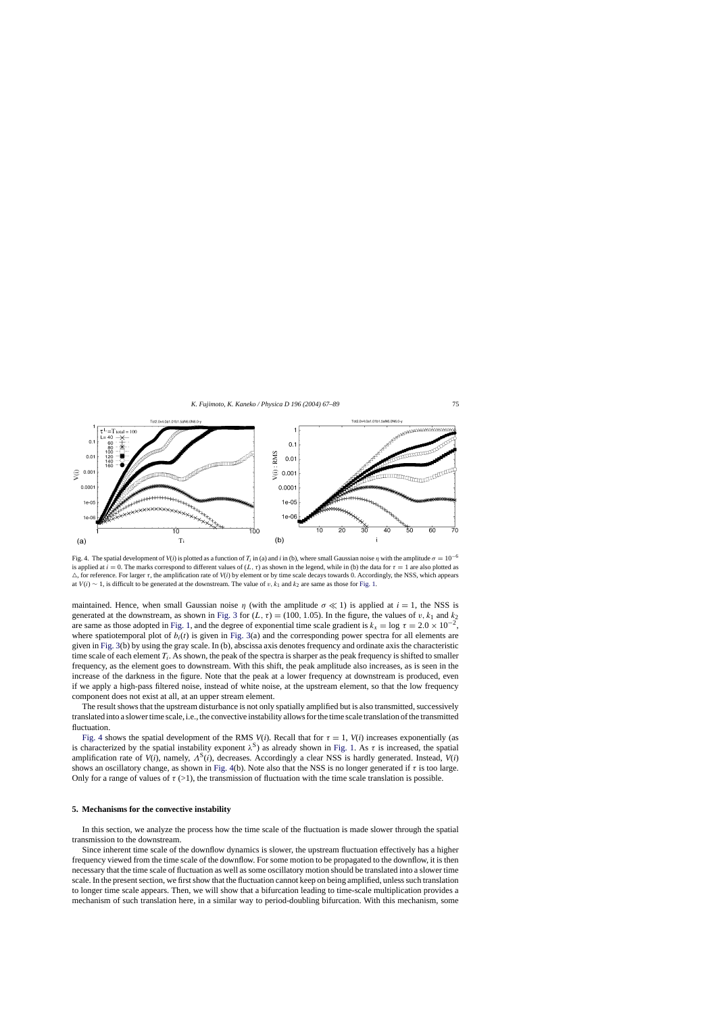<span id="page-8-0"></span>

Fig. 4. The spatial development of  $V(i)$  is plotted as a function of  $T_i$  in (a) and  $i$  in (b), where small Gaussian noise  $\eta$  with the amplitude  $\sigma = 10^{-6}$ is applied at  $i = 0$ . The marks correspond to different values of  $(L, \tau)$  as shown in the legend, while in (b) the data for  $\tau = 1$  are also plotted as  $\triangle$ , for reference. For larger  $\tau$ , the amplification rate of  $V(i)$  by element or by time scale decays towards 0. Accordingly, the NSS, which appears at  $V(i) \sim 1$ , is difficult to be generated at the downstream. The value of v, k<sub>1</sub> and k<sub>2</sub> are same as those for [Fig. 1.](#page-6-0)

maintained. Hence, when small Gaussian noise  $\eta$  (with the amplitude  $\sigma \ll 1$ ) is applied at  $i = 1$ , the NSS is generated at the downstream, as shown in [Fig. 3](#page-7-0) for  $(L, \tau) = (100, 1.05)$ . In the figure, the values of v,  $k_1$  and  $k_2$ are same as those adopted in [Fig. 1, a](#page-6-0)nd the degree of exponential time scale gradient is  $k_x = \log \tau = 2.0 \times 10^{-2}$ , where spatiotemporal plot of  $b_i(t)$  is given in [Fig. 3\(a](#page-7-0)) and the corresponding power spectra for all elements are given in [Fig. 3\(b](#page-7-0)) by using the gray scale. In (b), abscissa axis denotes frequency and ordinate axis the characteristic time scale of each element  $T_i$ . As shown, the peak of the spectra is sharper as the peak frequency is shifted to smaller frequency, as the element goes to downstream. With this shift, the peak amplitude also increases, as is seen in the increase of the darkness in the figure. Note that the peak at a lower frequency at downstream is produced, even if we apply a high-pass filtered noise, instead of white noise, at the upstream element, so that the low frequency component does not exist at all, at an upper stream element.

The result shows that the upstream disturbance is not only spatially amplified but is also transmitted, successively translated into a slower time scale, i.e., the convective instability allows for the time scale translation of the transmitted fluctuation.

Fig. 4 shows the spatial development of the RMS  $V(i)$ . Recall that for  $\tau = 1$ ,  $V(i)$  increases exponentially (as is characterized by the spatial instability exponent  $\lambda^S$ ) as already shown in [Fig. 1.](#page-6-0) As  $\tau$  is increased, the spatial amplification rate of  $V(i)$ , namely,  $\Lambda^{S}(i)$ , decreases. Accordingly a clear NSS is hardly generated. Instead,  $V(i)$ shows an oscillatory change, as shown in Fig. 4(b). Note also that the NSS is no longer generated if τ is too large. Only for a range of values of  $\tau$  (>1), the transmission of fluctuation with the time scale translation is possible.

#### **5. Mechanisms for the convective instability**

In this section, we analyze the process how the time scale of the fluctuation is made slower through the spatial transmission to the downstream.

Since inherent time scale of the downflow dynamics is slower, the upstream fluctuation effectively has a higher frequency viewed from the time scale of the downflow. For some motion to be propagated to the downflow, it is then necessary that the time scale of fluctuation as well as some oscillatory motion should be translated into a slower time scale. In the present section, we first show that the fluctuation cannot keep on being amplified, unless such translation to longer time scale appears. Then, we will show that a bifurcation leading to time-scale multiplication provides a mechanism of such translation here, in a similar way to period-doubling bifurcation. With this mechanism, some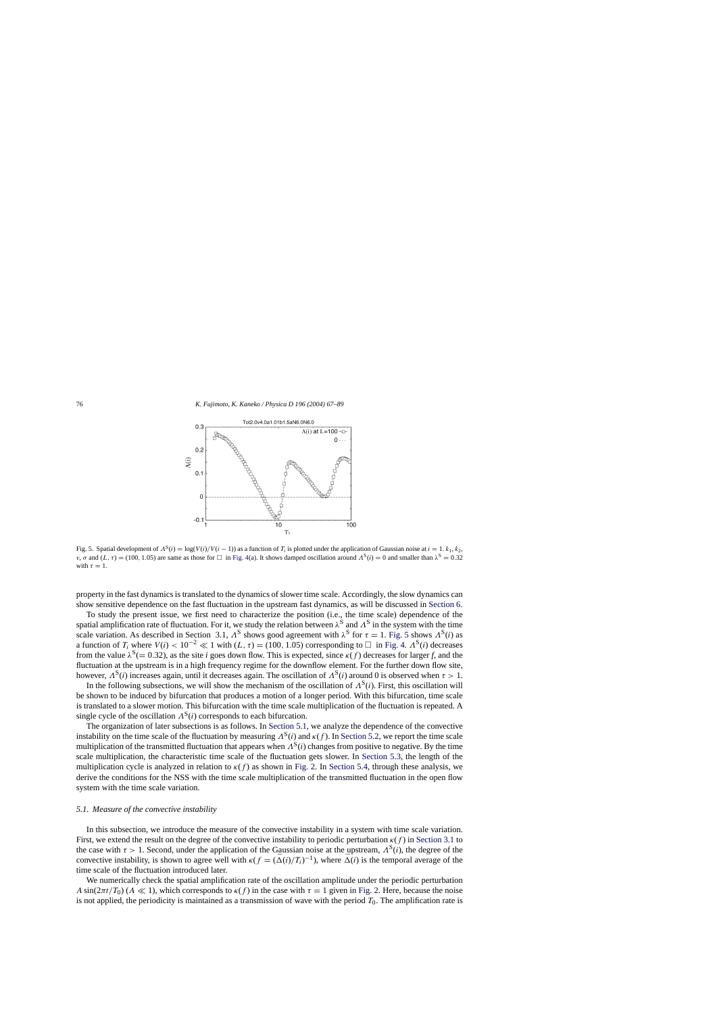<span id="page-9-0"></span>

Fig. 5. Spatial development of  $A^{S}(i) = \log(V(i)/V(i - 1))$  as a function of  $T_i$  is plotted under the application of Gaussian noise at  $i = 1, k_1, k_2$ , *v*, σ and  $(L, \tau) = (100, 1.05)$  are same as those for  $\Box$  in [Fig. 4\(a](#page-8-0)). It shows damped oscillation around  $\Lambda^S(i) = 0$  and smaller than  $\lambda^S = 0.32$ with  $\tau = 1$ .

property in the fast dynamics is translated to the dynamics of slower time scale. Accordingly, the slow dynamics can show sensitive dependence on the fast fluctuation in the upstream fast dynamics, as will be discussed in [Section 6.](#page-14-0)

To study the present issue, we first need to characterize the position (i.e., the time scale) dependence of the spatial amplification rate of fluctuation. For it, we study the relation between  $\lambda^{S}$  and  $\Lambda^{S}$  in the system with the time scale variation. As described in Section 3.1,  $\Lambda^S$  shows good agreement with  $\lambda^S$  for  $\tau = 1$ . Fig. 5 shows  $\Lambda^S(i)$  as a function of  $T_i$  where  $V(i) < 10^{-2} \ll 1$  with  $(L, \tau) = (100, 1.05)$  corresponding to  $\Box$  in [Fig. 4.](#page-8-0)  $\Lambda^S(i)$  decreases from the value  $\lambda^{S}$ (= 0.32), as the site *i* goes down flow. This is expected, since  $\kappa(f)$  decreases for larger *f*, and the fluctuation at the upstream is in a high frequency regime for the downflow element. For the further down flow site, however,  $\Lambda^{S}(i)$  increases again, until it decreases again. The oscillation of  $\Lambda^{S}(i)$  around 0 is observed when  $\tau > 1$ .

In the following subsections, we will show the mechanism of the oscillation of  $\Lambda^{S}(i)$ . First, this oscillation will be shown to be induced by bifurcation that produces a motion of a longer period. With this bifurcation, time scale is translated to a slower motion. This bifurcation with the time scale multiplication of the fluctuation is repeated. A single cycle of the oscillation  $\Lambda^{S}(i)$  corresponds to each bifurcation.

The organization of later subsections is as follows. In Section 5.1, we analyze the dependence of the convective instability on the time scale of the fluctuation by measuring  $\Lambda^{S}(i)$  and  $\kappa(f)$ . In [Section 5.2, w](#page-11-0)e report the time scale multiplication of the transmitted fluctuation that appears when  $\Lambda^{S}(i)$  changes from positive to negative. By the time scale multiplication, the characteristic time scale of the fluctuation gets slower. In [Section 5.3,](#page-12-0) the length of the multiplication cycle is analyzed in relation to  $\kappa(f)$  as shown in [Fig. 2.](#page-7-0) In [Section 5.4,](#page-13-0) through these analysis, we derive the conditions for the NSS with the time scale multiplication of the transmitted fluctuation in the open flow system with the time scale variation.

#### *5.1. Measure of the convective instability*

In this subsection, we introduce the measure of the convective instability in a system with time scale variation. First, we extend the result on the degree of the convective instability to periodic perturbation  $\kappa(f)$  in [Section 3.1](#page-3-0) to the case with  $\tau > 1$ . Second, under the application of the Gaussian noise at the upstream,  $\Lambda^{S}(i)$ , the degree of the convective instability, is shown to agree well with  $\kappa(f = (\bar{\Delta}(i)/T_i)^{-1})$ , where  $\bar{\Delta}(i)$  is the temporal average of the time scale of the fluctuation introduced later.

We numerically check the spatial amplification rate of the oscillation amplitude under the periodic perturbation A sin( $2\pi t/T_0$ ) (A  $\ll$  1), which corresponds to  $\kappa(f)$  in the case with  $\tau = 1$  given in [Fig. 2. H](#page-7-0)ere, because the noise is not applied, the periodicity is maintained as a transmission of wave with the period  $T_0$ . The amplification rate is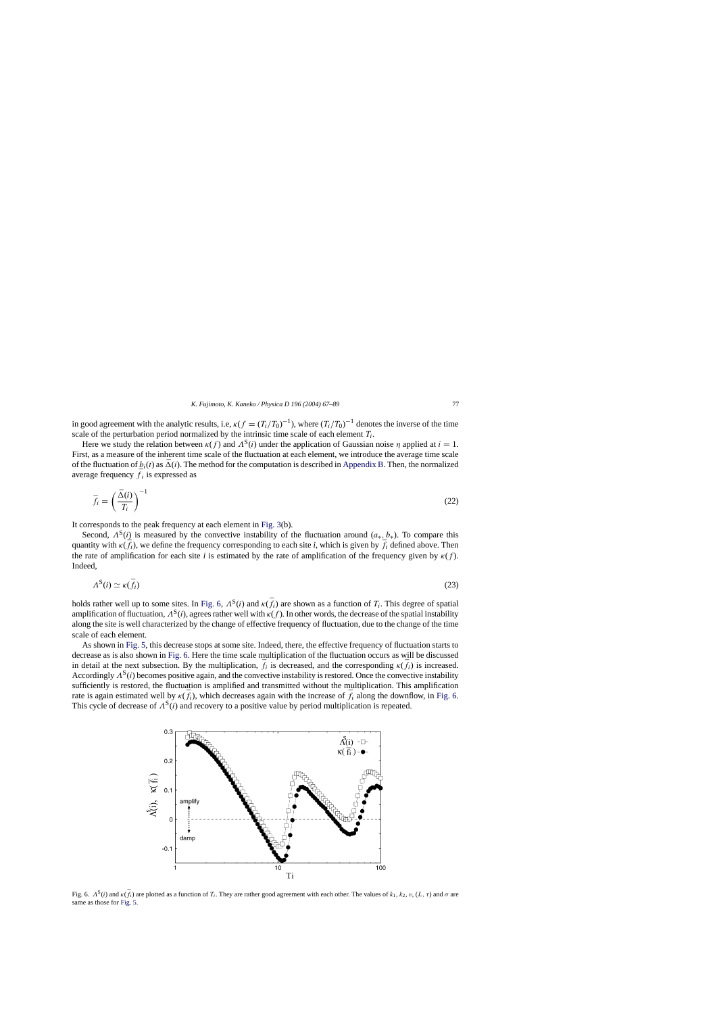<span id="page-10-0"></span>in good agreement with the analytic results, i.e,  $\kappa(f = (T_i/T_0)^{-1})$ , where  $(T_i/T_0)^{-1}$  denotes the inverse of the time scale of the perturbation period normalized by the intrinsic time scale of each element  $T_i$ .

Here we study the relation between  $\kappa(f)$  and  $\Lambda^{S}(i)$  under the application of Gaussian noise  $\eta$  applied at  $i = 1$ . First, as a measure of the inherent time scale of the fluctuation at each element, we introduce the average time scale of the fluctuation of  $b_i(t)$  as  $\bar{\Delta}(i)$ . The method for the computation is described in [Appendix B. T](#page-21-0)hen, the normalized average frequency  $\bar{f}_i$  is expressed as

$$
\bar{f}_i = \left(\frac{\bar{\Delta}(i)}{T_i}\right)^{-1} \tag{22}
$$

It corresponds to the peak frequency at each element in [Fig. 3\(b](#page-7-0)).

Second,  $\Lambda^{S}(i)$  is measured by the convective instability of the fluctuation around  $(a_{*}, b_{*})$ . To compare this quantity with  $\kappa(\bar{f}_i)$ , we define the frequency corresponding to each site *i*, which is given by  $\bar{f}_i$  defined above. Then the rate of amplification for each site *i* is estimated by the rate of amplification of the frequency given by  $\kappa(f)$ . Indeed,

$$
\Lambda^{\mathcal{S}}(i) \simeq \kappa(\bar{f}_i) \tag{23}
$$

holds rather well up to some sites. In Fig. 6,  $\Lambda^S(i)$  and  $\kappa(\bar{f}_i)$  are shown as a function of  $T_i$ . This degree of spatial amplification of fluctuation,  $\Lambda^S(i)$ , agrees rather well with  $\kappa(f)$ . In other words, the decrease of the spatial instability along the site is well characterized by the change of effective frequency of fluctuation, due to the change of the time scale of each element.

As shown in [Fig. 5, t](#page-9-0)his decrease stops at some site. Indeed, there, the effective frequency of fluctuation starts to decrease as is also shown in Fig. 6. Here the time scale multiplication of the fluctuation occurs as will be discussed in detail at the next subsection. By the multiplication,  $\bar{f}_i$  is decreased, and the corresponding  $\kappa(\bar{f}_i)$  is increased. Accordingly  $\Lambda^{S}(i)$  becomes positive again, and the convective instability is restored. Once the convective instability sufficiently is restored, the fluctuation is amplified and transmitted without the multiplication. This amplification rate is again estimated well by  $\kappa(\bar{f}_i)$ , which decreases again with the increase of  $\bar{f}_i$  along the downflow, in Fig. 6. This cycle of decrease of  $\Lambda^{S}(i)$  and recovery to a positive value by period multiplication is repeated.



Fig. 6.  $\Lambda^{S}(i)$  and  $\kappa(\bar{f}_i)$  are plotted as a function of  $T_i$ . They are rather good agreement with each other. The values of  $k_1, k_2, v, (L, \tau)$  and  $\sigma$  are same as those for [Fig. 5.](#page-9-0)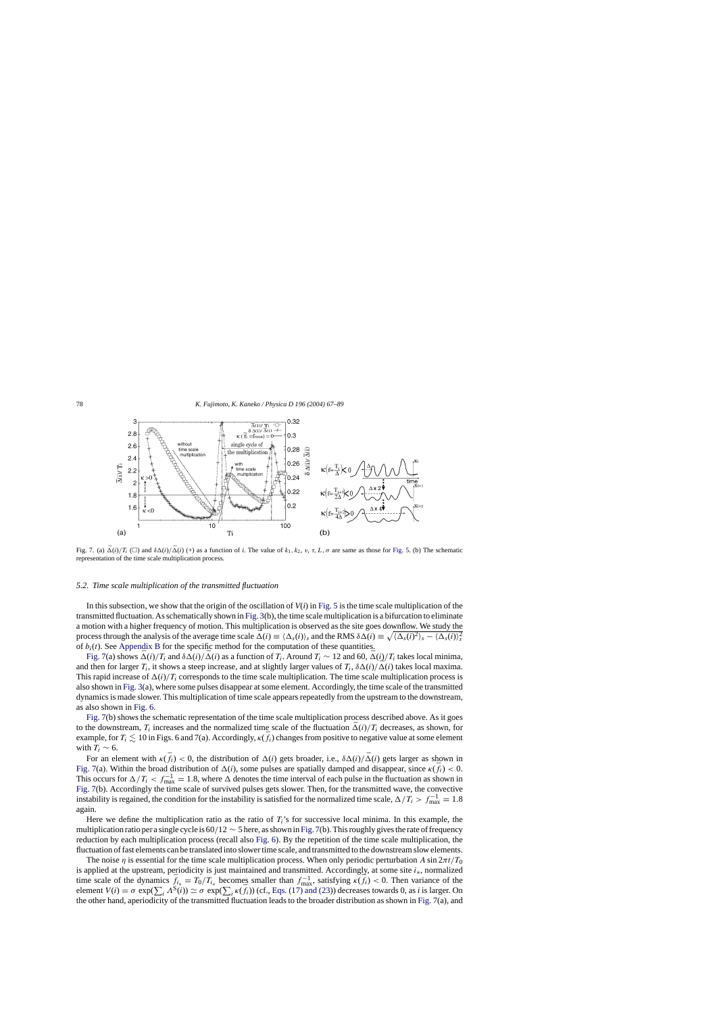<span id="page-11-0"></span>

Fig. 7. (a)  $\overline{\Delta}(i)/T_i$  ( $\square$ ) and  $\delta\Delta(i)/\overline{\Delta}(i)$  (+) as a function of *i*. The value of  $k_1, k_2, v, \tau, L, \sigma$  are same as those for [Fig. 5.](#page-9-0) (b) The schematic representation of the time scale multiplication process.

#### *5.2. Time scale multiplication of the transmitted fluctuation*

In this subsection, we show that the origin of the oscillation of  $V(i)$  in [Fig. 5](#page-9-0) is the time scale multiplication of the transmitted fluctuation. As schematically shown in [Fig. 3\(b](#page-7-0)), the time scale multiplication is a bifurcation to eliminate a motion with a higher frequency of motion. This multiplication is observed as the site goes downflow. We study the process through the analysis of the average time scale  $\bar{\Delta}(i) \equiv \langle \Delta_s(i) \rangle_s$  and the RMS  $\delta \Delta(i) \equiv \sqrt{\langle \Delta_s(i)^2 \rangle_s - \langle \Delta_s(i) \rangle_s^2}$ of  $b_i(t)$ . See [Appendix B](#page-21-0) for the specific method for the computation of these quantities.

Fig. 7(a) shows  $\bar{\Delta}(i)/T_i$  and  $\delta\Delta(i)/\bar{\Delta}(i)$  as a function of  $T_i$ . Around  $T_i \sim 12$  and 60,  $\bar{\Delta}(i)/T_i$  takes local minima, and then for larger  $T_i$ , it shows a steep increase, and at slightly larger values of  $T_i$ ,  $\delta\Delta(i)/\bar{\Delta}(i)$  takes local maxima. This rapid increase of  $\Delta(i)/T_i$  corresponds to the time scale multiplication. The time scale multiplication process is also shown in [Fig. 3\(a](#page-7-0)), where some pulses disappear at some element. Accordingly, the time scale of the transmitted dynamics is made slower. This multiplication of time scale appears repeatedly from the upstream to the downstream, as also shown in [Fig. 6.](#page-10-0)

Fig. 7(b) shows the schematic representation of the time scale multiplication process described above. As it goes to the downstream,  $T_i$  increases and the normalized time scale of the fluctuation  $\bar{\Delta}(i)/T_i$  decreases, as shown, for example, for  $T_i \lesssim 10$  in Figs. 6 and 7(a). Accordingly,  $\kappa(\bar{f}_i)$  changes from positive to negative value at some element with  $T_i \sim 6$ .

For an element with  $\kappa(\bar{f}_i) < 0$ , the distribution of  $\Delta(i)$  gets broader, i.e.,  $\delta\Delta(i)/\bar{\Delta}(i)$  gets larger as shown in Fig. 7(a). Within the broad distribution of  $\Delta(i)$ , some pulses are spatially damped and disappear, since  $\kappa(\bar{f}_i) < 0$ . This occurs for  $\Delta/T_i < f_{\text{max}}^{-1} = 1.8$ , where  $\Delta$  denotes the time interval of each pulse in the fluctuation as shown in Fig. 7(b). Accordingly the time scale of survived pulses gets slower. Then, for the transmitted wave, the convective instability is regained, the condition for the instability is satisfied for the normalized time scale,  $\Delta/T_i > f_{\text{max}}^{-1} = 1.8$ again.

Here we define the multiplication ratio as the ratio of  $T_i$ 's for successive local minima. In this example, the multiplication ratio per a single cycle is 60/12 ∼ 5 here, as shown in Fig. 7(b). This roughly gives the rate of frequency reduction by each multiplication process (recall also [Fig. 6\).](#page-10-0) By the repetition of the time scale multiplication, the fluctuation of fast elements can be translated into slower time scale, and transmitted to the downstream slow elements.

The noise  $\eta$  is essential for the time scale multiplication process. When only periodic perturbation A sin  $2\pi t/T_0$ is applied at the upstream, periodicity is just maintained and transmitted. Accordingly, at some site  $i_*$ , normalized time scale of the dynamics  $\bar{f}_{i*} = T_0/T_{i*}$  becomes smaller than  $f_{\text{max}}^{-1}$ , satisfying  $\kappa(\bar{f}_i) < 0$ . Then variance of the element  $V(i) = \sigma \exp(\sum_i A^{S}(i)) \simeq \sigma \exp(\sum_i \kappa(\bar{f}_i))$  (cf., [Eqs. \(17\) and \(23\)\)](#page-5-0) decreases towards 0, as *i* is larger. On the other hand, aperiodicity of the transmitted fluctuation leads to the broader distribution as shown in Fig. 7(a), and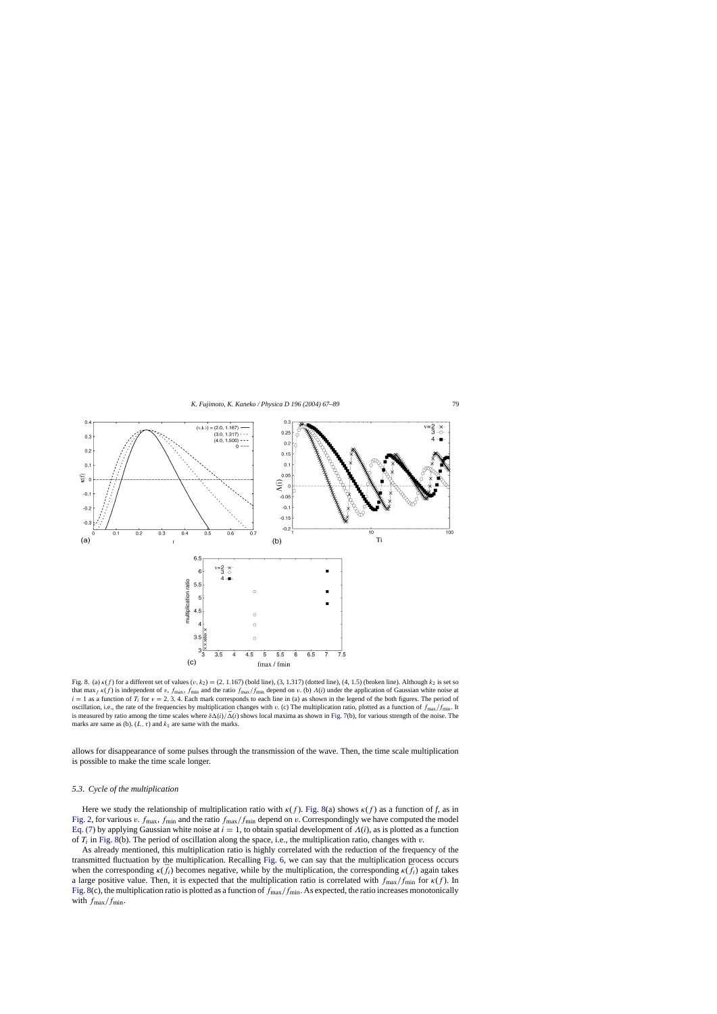<span id="page-12-0"></span>

Fig. 8. (a)  $\kappa(f)$  for a different set of values  $(v, k_2) = (2, 1.167)$  (bold line),  $(3, 1.317)$  (dotted line),  $(4, 1.5)$  (broken line). Although  $k_2$  is set so that max  $f_{f}(f)$  is independent of v,  $f_{\text{max}}$ ,  $f_{\text{min}}$  and the ratio  $f_{\text{max}}/f_{\text{min}}$  depend on v. (b)  $\Lambda(i)$  under the application of Gaussian white noise at  $i = 1$  as a function of  $T_i$  for  $v = 2, 3, 4$ . Each mark corresponds to each line in (a) as shown in the legend of the both figures. The period of oscillation, i.e., the rate of the frequencies by multiplication changes with v. (c) The multiplication ratio, plotted as a function of  $f_{\text{max}}/f_{\text{min}}$ . It is measured by ratio among the time scales where  $\delta\Delta(i)/\bar{\Delta}(i)$  shows local maxima as shown in [Fig. 7\(b](#page-11-0)), for various strength of the noise. The marks are same as (b).  $(L, \tau)$  and  $k_1$  are same with the marks.

allows for disappearance of some pulses through the transmission of the wave. Then, the time scale multiplication is possible to make the time scale longer.

## *5.3. Cycle of the multiplication*

Here we study the relationship of multiplication ratio with  $\kappa(f)$ . Fig. 8(a) shows  $\kappa(f)$  as a function of *f*, as in [Fig. 2, f](#page-7-0)or various v.  $f_{\text{max}}$ ,  $f_{\text{min}}$  and the ratio  $f_{\text{max}}/f_{\text{min}}$  depend on v. Correspondingly we have computed the model [Eq. \(7\)](#page-4-0) by applying Gaussian white noise at  $i = 1$ , to obtain spatial development of  $\Lambda(i)$ , as is plotted as a function of  $T_i$  in Fig. 8(b). The period of oscillation along the space, i.e., the multiplication ratio, changes with v.

As already mentioned, this multiplication ratio is highly correlated with the reduction of the frequency of the transmitted fluctuation by the multiplication. Recalling [Fig. 6,](#page-10-0) we can say that the multiplication process occurs when the corresponding  $\kappa(\bar{f}_i)$  becomes negative, while by the multiplication, the corresponding  $\kappa(\bar{f}_i)$  again takes a large positive value. Then, it is expected that the multiplication ratio is correlated with  $f_{\text{max}}/f_{\text{min}}$  for  $\kappa(f)$ . In Fig. 8(c), the multiplication ratio is plotted as a function of  $f_{\text{max}}/f_{\text{min}}$ . As expected, the ratio increases monotonically with  $f_{\text{max}}/f_{\text{min}}$ .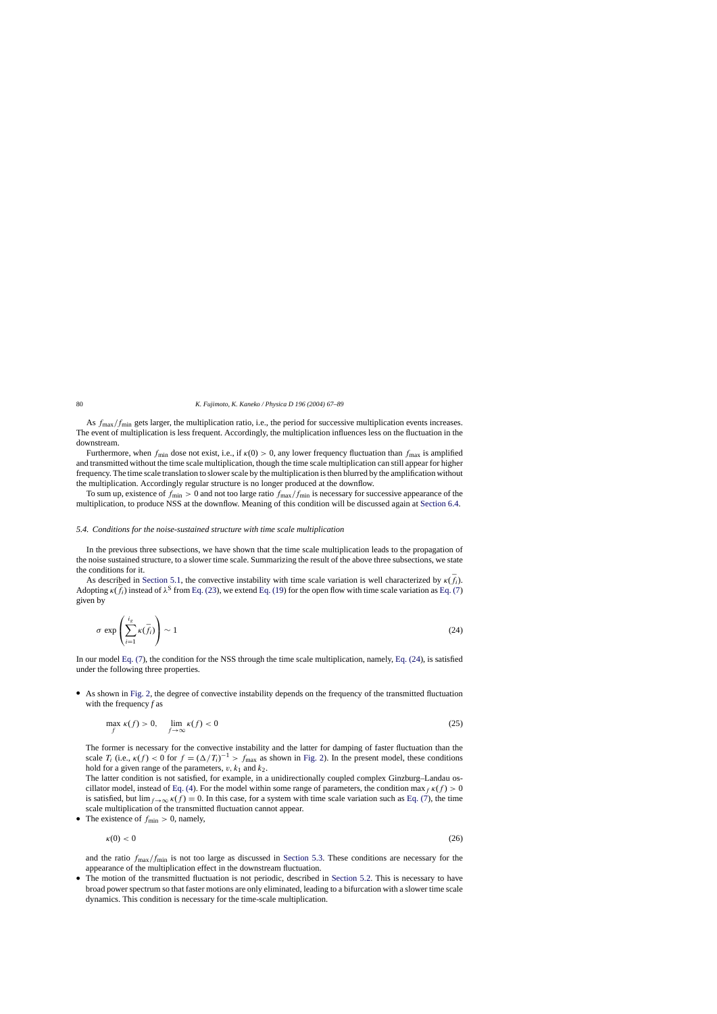<span id="page-13-0"></span>As  $f_{\text{max}}/f_{\text{min}}$  gets larger, the multiplication ratio, i.e., the period for successive multiplication events increases. The event of multiplication is less frequent. Accordingly, the multiplication influences less on the fluctuation in the downstream.

Furthermore, when  $f_{min}$  dose not exist, i.e., if  $\kappa(0) > 0$ , any lower frequency fluctuation than  $f_{max}$  is amplified and transmitted without the time scale multiplication, though the time scale multiplication can still appear for higher frequency. The time scale translation to slower scale by the multiplication is then blurred by the amplification without the multiplication. Accordingly regular structure is no longer produced at the downflow.

To sum up, existence of  $f_{\text{min}} > 0$  and not too large ratio  $f_{\text{max}}/f_{\text{min}}$  is necessary for successive appearance of the multiplication, to produce NSS at the downflow. Meaning of this condition will be discussed again at [Section 6.4.](#page-17-0)

## *5.4. Conditions for the noise-sustained structure with time scale multiplication*

In the previous three subsections, we have shown that the time scale multiplication leads to the propagation of the noise sustained structure, to a slower time scale. Summarizing the result of the above three subsections, we state the conditions for it.

As described in [Section 5.1,](#page-9-0) the convective instability with time scale variation is well characterized by  $\kappa(\bar{f}_i)$ . Adopting  $\kappa(\bar{f}_i)$  instead of  $\lambda^S$  from [Eq. \(23\),](#page-10-0) we extend [Eq. \(19\) f](#page-6-0)or the open flow with time scale variation as [Eq. \(7\)](#page-4-0) given by

$$
\sigma \exp\left(\sum_{i=1}^{i_g} \kappa(\bar{f}_i)\right) \sim 1\tag{24}
$$

In our model [Eq. \(7\),](#page-4-0) the condition for the NSS through the time scale multiplication, namely, Eq. (24), is satisfied under the following three properties.

• As shown in [Fig. 2,](#page-7-0) the degree of convective instability depends on the frequency of the transmitted fluctuation with the frequency *f* as

$$
\max_{f} \kappa(f) > 0, \quad \lim_{f \to \infty} \kappa(f) < 0 \tag{25}
$$

The former is necessary for the convective instability and the latter for damping of faster fluctuation than the scale  $T_i$  (i.e.,  $\kappa(f) < 0$  for  $f = (\Delta/T_i)^{-1} > f_{\text{max}}$  as shown in [Fig. 2\).](#page-7-0) In the present model, these conditions hold for a given range of the parameters,  $v, k_1$  and  $k_2$ .

The latter condition is not satisfied, for example, in a unidirectionally coupled complex Ginzburg–Landau os-cillator model, instead of [Eq. \(4\).](#page-3-0) For the model within some range of parameters, the condition max  $f_{f}(f) > 0$ is satisfied, but  $\lim_{f\to\infty} \kappa(f) = 0$ . In this case, for a system with time scale variation such as [Eq. \(7\),](#page-4-0) the time scale multiplication of the transmitted fluctuation cannot appear.

The existence of  $f_{\text{min}} > 0$ , namely,

$$
\kappa(0) < 0 \tag{26}
$$

and the ratio  $f_{\text{max}}/f_{\text{min}}$  is not too large as discussed in [Section 5.3.](#page-12-0) These conditions are necessary for the appearance of the multiplication effect in the downstream fluctuation.

The motion of the transmitted fluctuation is not periodic, described in [Section 5.2.](#page-11-0) This is necessary to have broad power spectrum so that faster motions are only eliminated, leading to a bifurcation with a slower time scale dynamics. This condition is necessary for the time-scale multiplication.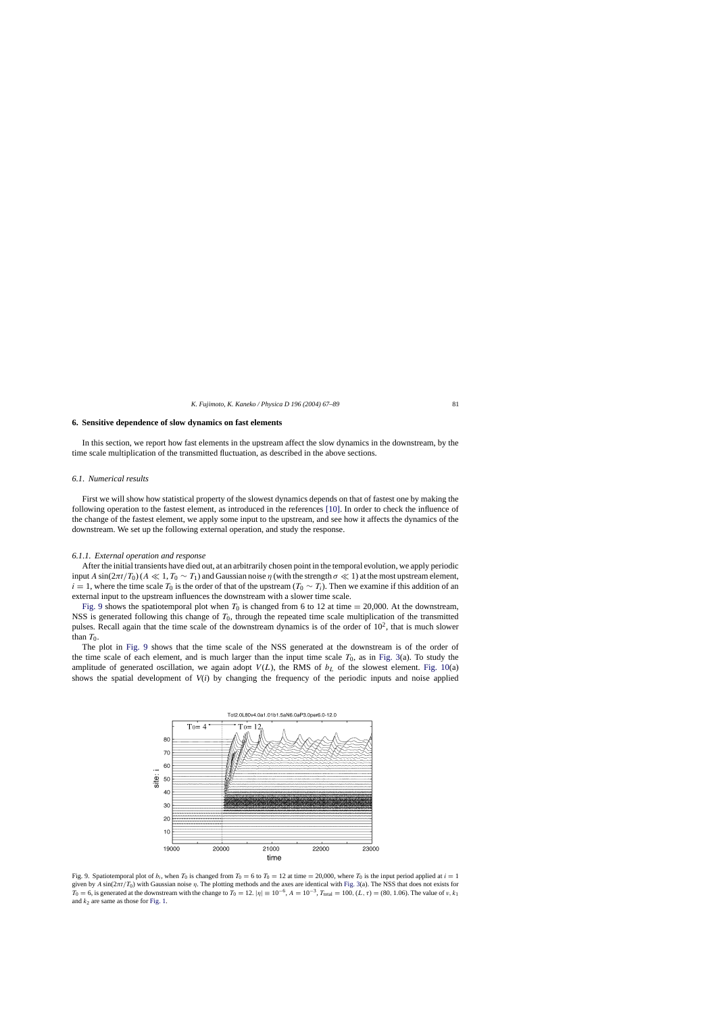#### <span id="page-14-0"></span>**6. Sensitive dependence of slow dynamics on fast elements**

In this section, we report how fast elements in the upstream affect the slow dynamics in the downstream, by the time scale multiplication of the transmitted fluctuation, as described in the above sections.

#### *6.1. Numerical results*

First we will show how statistical property of the slowest dynamics depends on that of fastest one by making the following operation to the fastest element, as introduced in the references [\[10\].](#page-22-0) In order to check the influence of the change of the fastest element, we apply some input to the upstream, and see how it affects the dynamics of the downstream. We set up the following external operation, and study the response.

#### *6.1.1. External operation and response*

After the initial transients have died out, at an arbitrarily chosen point in the temporal evolution, we apply periodic input A sin( $2\pi t/T_0$ ) (A  $\ll 1, T_0 \sim T_1$ ) and Gaussian noise  $\eta$  (with the strength  $\sigma \ll 1$ ) at the most upstream element,  $i = 1$ , where the time scale T<sub>0</sub> is the order of that of the upstream (T<sub>0</sub> ∼ T<sub>i</sub>). Then we examine if this addition of an external input to the upstream influences the downstream with a slower time scale.

Fig. 9 shows the spatiotemporal plot when  $T_0$  is changed from 6 to 12 at time = 20,000. At the downstream, NSS is generated following this change of  $T_0$ , through the repeated time scale multiplication of the transmitted pulses. Recall again that the time scale of the downstream dynamics is of the order of  $10<sup>2</sup>$ , that is much slower than  $T_0$ .

The plot in Fig. 9 shows that the time scale of the NSS generated at the downstream is of the order of the time scale of each element, and is much larger than the input time scale  $T_0$ , as in [Fig. 3\(a](#page-7-0)). To study the amplitude of generated oscillation, we again adopt  $V(L)$ , the RMS of  $b<sub>L</sub>$  of the slowest element. [Fig. 10\(](#page-15-0)a) shows the spatial development of *V*(*i*) by changing the frequency of the periodic inputs and noise applied



Fig. 9. Spatiotemporal plot of  $b_i$ , when  $T_0$  is changed from  $T_0 = 6$  to  $T_0 = 12$  at time  $= 20,000$ , where  $T_0$  is the input period applied at  $i = 1$ given by  $A \sin(2\pi t/T_0)$  with Gaussian noise  $\eta$ . The plotting methods and the axes are identical with [Fig. 3\(a](#page-7-0)). The NSS that does not exists for  $T_0 = 6$ , is generated at the downstream with the change to  $T_0 = 12$ .  $|\eta| \equiv 10^{-6}$ ,  $A = 10^{-3}$ ,  $T_{\text{total}} = 100$ ,  $(L, \tau) = (80, 1.06)$ . The value of v,  $k_1$ and  $k_2$  are same as those for [Fig. 1.](#page-6-0)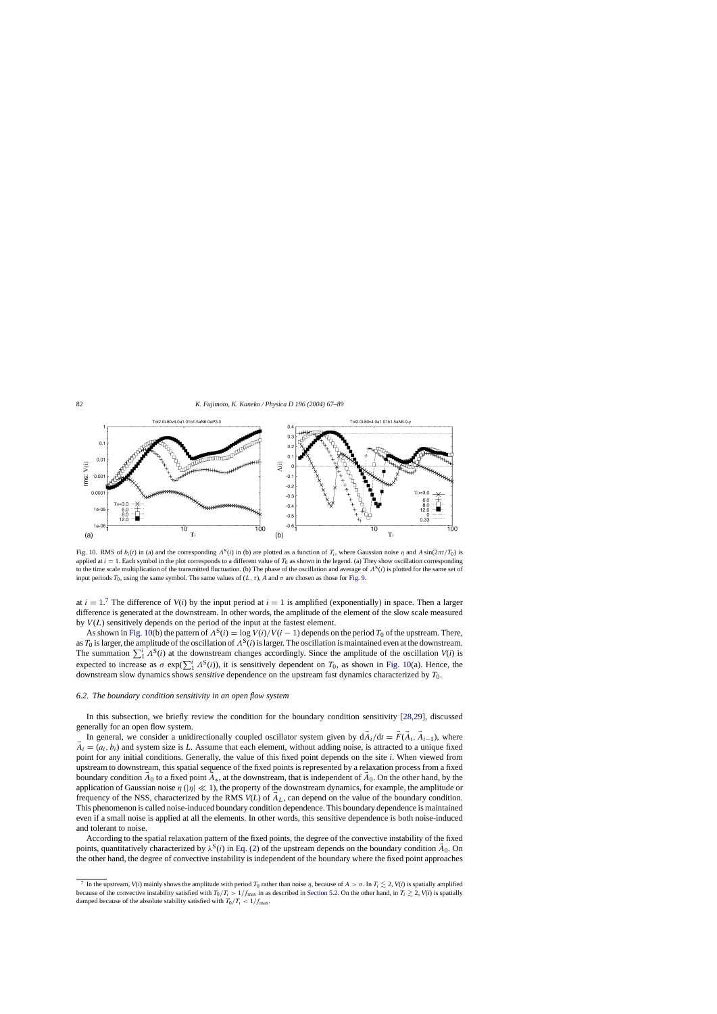<span id="page-15-0"></span>

Fig. 10. RMS of  $b_i(t)$  in (a) and the corresponding  $A^S(i)$  in (b) are plotted as a function of T<sub>i</sub>, where Gaussian noise  $\eta$  and A sin( $2\pi t/T_0$ ) is applied at  $i = 1$ . Each symbol in the plot corresponds to a different value of  $T_0$  as shown in the legend. (a) They show oscillation corresponding to the time scale multiplication of the transmitted fluctuation. (b) The phase of the oscillation and average of  $\Lambda^{S}(i)$  is plotted for the same set of input periods  $T_0$ , using the same symbol. The same values of  $(L, \tau)$ , *A* and  $\sigma$  are chosen as those for [Fig. 9.](#page-14-0)

at  $i = 1$ .<sup>7</sup> The difference of  $V(i)$  by the input period at  $i = 1$  is amplified (exponentially) in space. Then a larger difference is generated at the downstream. In other words, the amplitude of the element of the slow scale measured by  $V(L)$  sensitively depends on the period of the input at the fastest element.

As shown in Fig. 10(b) the pattern of  $\Lambda^{S}(i) = \log V(i)/V(i-1)$  depends on the period  $T_0$  of the upstream. There, as  $T_0$  is larger, the amplitude of the oscillation of  $\Lambda^S(i)$  is larger. The oscillation is maintained even at the downstream. The summation  $\sum_{i=1}^{i} \Lambda^{S}(i)$  at the downstream changes accordingly. Since the amplitude of the oscillation *V*(*i*) is expected to increase as  $\sigma \exp(\sum_{1}^{i} \Lambda^{S}(i))$ , it is sensitively dependent on  $T_0$ , as shown in Fig. 10(a). Hence, the downstream slow dynamics shows *sensitive* dependence on the upstream fast dynamics characterized by  $T_0$ .

#### *6.2. The boundary condition sensitivity in an open flow system*

In this subsection, we briefly review the condition for the boundary condition sensitivity [\[28,29\],](#page-22-0) discussed generally for an open flow system.

In general, we consider a unidirectionally coupled oscillator system given by  $dA_i/dt = \vec{F}(\vec{A}_i, \vec{A}_{i-1})$ , where  $\vec{A}_i = (a_i, b_i)$  and system size is *L*. Assume that each element, without adding noise, is attracted to a unique fixed point for any initial conditions. Generally, the value of this fixed point depends on the site *i*. When viewed from upstream to downstream, this spatial sequence of the fixed points is represented by a relaxation process from a fixed boundary condition  $\vec{A}_0$  to a fixed point  $\vec{A}_*$ , at the downstream, that is independent of  $\vec{A}_0$ . On the other hand, by the application of Gaussian noise  $\eta$  (| $\eta$ |  $\ll$  1), the property of the downstream dynamics, for example, the amplitude or frequency of the NSS, characterized by the RMS  $V(L)$  of  $\vec{A}_L$ , can depend on the value of the boundary condition. This phenomenon is called noise-induced boundary condition dependence. This boundary dependence is maintained even if a small noise is applied at all the elements. In other words, this sensitive dependence is both noise-induced and tolerant to noise.

According to the spatial relaxation pattern of the fixed points, the degree of the convective instability of the fixed points, quantitatively characterized by  $\lambda^S(i)$  in [Eq. \(2\)](#page-2-0) of the upstream depends on the boundary condition  $\vec{A}_0$ . On the other hand, the degree of convective instability is independent of the boundary where the fixed point approaches

<sup>&</sup>lt;sup>7</sup> In the upstream, *V*(*i*) mainly shows the amplitude with period  $T_0$  rather than noise  $\eta$ , because of  $A > \sigma$ . In  $T_i \leq 2$ , *V*(*i*) is spatially amplified because of the convective instability satisfied with  $T_0/T_i > 1/f_{\text{max}}$  in as described in [Section 5.2. O](#page-11-0)n the other hand, in  $T_i \ge 2$ ,  $V(i)$  is spatially damped because of the absolute stability satisfied with  $T_0/T_i < 1/f_{\text{max}}$ .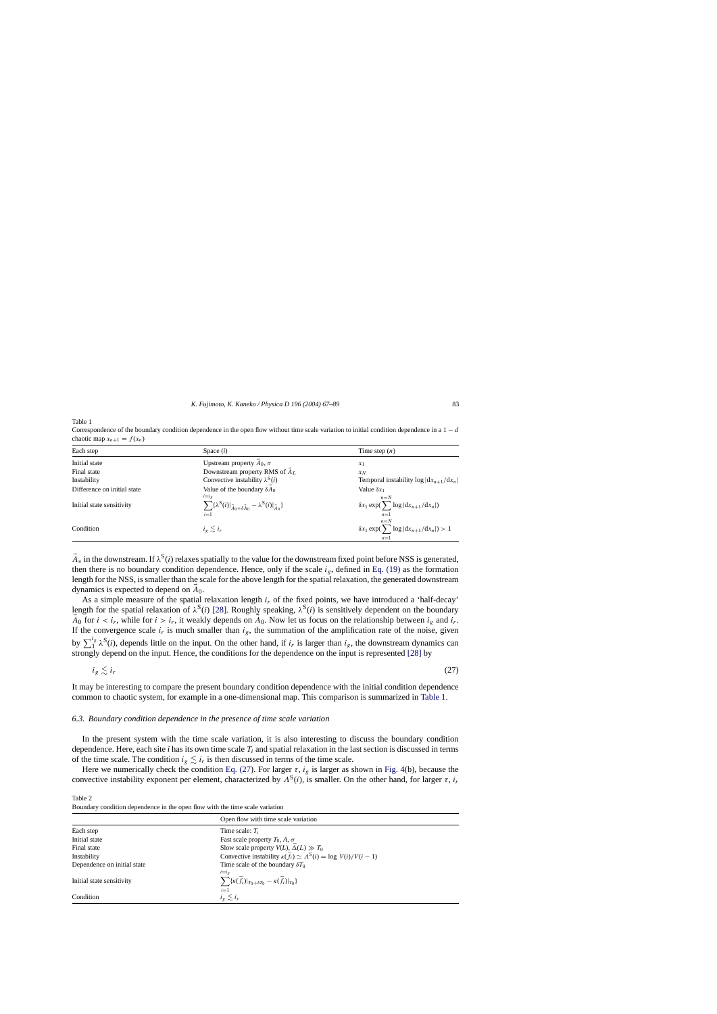<span id="page-16-0"></span>Table 1

Correspondence of the boundary condition dependence in the open flow without time scale variation to initial condition dependence in a  $1 - d$ chaotic map  $x_{n+1} = f(x_n)$ 

| Each step                   | Space $(i)$                                                                                                               | Time step $(n)$                                                      |
|-----------------------------|---------------------------------------------------------------------------------------------------------------------------|----------------------------------------------------------------------|
| Initial state               | Upstream property $A_0$ , $\sigma$                                                                                        | $x_1$                                                                |
| Final state                 | Downstream property RMS of $A_L$                                                                                          | $x_N$                                                                |
| Instability                 | Convective instability $\lambda^{S}(i)$                                                                                   | Temporal instability $\log  dx_{n+1}/dx_n $                          |
| Difference on initial state | Value of the boundary $\delta A_0$                                                                                        | Value $\delta x_1$                                                   |
| Initial state sensitivity   | $i=i_g$<br>$\sum {\{\lambda^{\text{S}}(i) _{\vec{A}_0+\delta \vec{A}_0} - \lambda^{\text{S}}(i) _{\vec{A}_0}}\}$<br>$i=1$ | $n=N$<br>$\delta x_1 \exp(\sum \log  dx_{n+1}/dx_n )$<br>$n=1$       |
| Condition                   | $i_g \leq i_r$                                                                                                            | $n = N$<br>$\delta x_1 \exp(\sum \log  dx_{n+1}/dx_n ) > 1$<br>$n=1$ |

 $\vec{A}_*$  in the downstream. If  $\lambda^S(i)$  relaxes spatially to the value for the downstream fixed point before NSS is generated, then there is no boundary condition dependence. Hence, only if the scale  $i_g$ , defined in [Eq. \(19\)](#page-6-0) as the formation length for the NSS, is smaller than the scale for the above length for the spatial relaxation, the generated downstream dynamics is expected to depend on  $\vec{A}_0$ .

As a simple measure of the spatial relaxation length  $i_r$  of the fixed points, we have introduced a 'half-decay' length for the spatial relaxation of  $\lambda^{S}(i)$  [\[28\].](#page-22-0) Roughly speaking,  $\lambda^{S}(i)$  is sensitively dependent on the boundary  $\vec{A}_0$  for  $i < i_r$ , while for  $i > i_r$ , it weakly depends on  $\vec{A}_0$ . Now let us focus on the relationship between  $i_g$  and  $i_r$ . If the convergence scale  $i_r$  is much smaller than  $i_g$ , the summation of the amplification rate of the noise, given by  $\sum_1^{i_g} \lambda^S(i)$ , depends little on the input. On the other hand, if  $i_r$  is larger than  $i_g$ , the downstream dynamics can strongly depend on the input. Hence, the conditions for the dependence on the input is represented [\[28\]](#page-22-0) by

$$
i_g \lesssim i_r \tag{27}
$$

It may be interesting to compare the present boundary condition dependence with the initial condition dependence common to chaotic system, for example in a one-dimensional map. This comparison is summarized in Table 1.

#### *6.3. Boundary condition dependence in the presence of time scale variation*

In the present system with the time scale variation, it is also interesting to discuss the boundary condition dependence. Here, each site  $i$  has its own time scale  $T_i$  and spatial relaxation in the last section is discussed in terms of the time scale. The condition  $i_g \lesssim i_r$  is then discussed in terms of the time scale.

Here we numerically check the condition Eq. (27). For larger  $\tau$ ,  $i_g$  is larger as shown in [Fig. 4\(b](#page-8-0)), because the convective instability exponent per element, characterized by  $\Lambda^{S}(i)$ , is smaller. On the other hand, for larger  $\tau$ ,  $i_r$ 

Table 2 Boundary condition dependence in the open flow with the time scale variation

|                             | Open flow with time scale variation                                               |  |
|-----------------------------|-----------------------------------------------------------------------------------|--|
| Each step                   | Time scale: $T_i$                                                                 |  |
| Initial state               | Fast scale property $T_0$ , A, $\sigma$                                           |  |
| Final state                 | Slow scale property $V(L)$ , $\bar{\Delta}(L) \gg T_0$                            |  |
| Instability                 | Convective instability $\kappa(\bar{f}_i) \simeq \Lambda^S(i) = \log V(i)/V(i-1)$ |  |
| Dependence on initial state | Time scale of the boundary $\delta T_0$                                           |  |
|                             | $i=i_{\varphi}$                                                                   |  |
| Initial state sensitivity   | $\sum {\{\kappa(\bar{f_i}) _{T_0+\delta T_0}-\kappa(\bar{f_i}) _{T_0}\}}$         |  |
|                             | $i=1$                                                                             |  |
| Condition                   | $i_g \lesssim i_r$                                                                |  |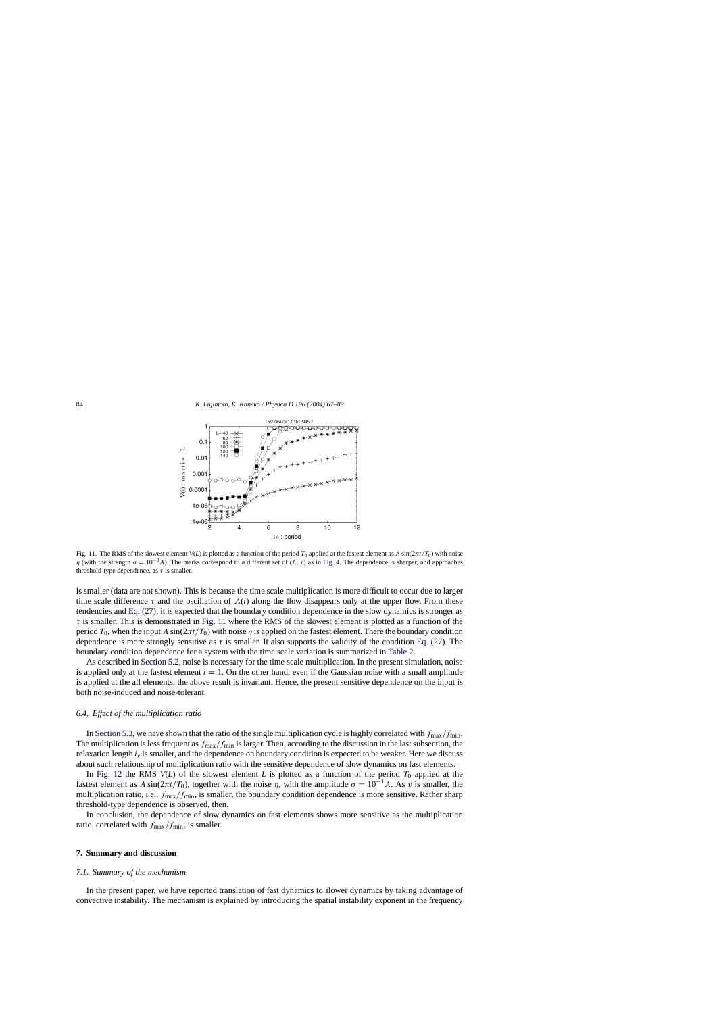<span id="page-17-0"></span>

Fig. 11. The RMS of the slowest element  $V(L)$  is plotted as a function of the period  $T_0$  applied at the fastest element as  $A \sin(2\pi t/T_0)$  with noise η (with the strength  $\sigma = 10^{-3}$ A). The marks correspond to a different set of (L, τ) as in [Fig. 4.](#page-8-0) The dependence is sharper, and approaches threshold-type dependence, as  $\tau$  is smaller.

is smaller (data are not shown). This is because the time scale multiplication is more difficult to occur due to larger time scale difference τ and the oscillation of  $\Lambda(i)$  along the flow disappears only at the upper flow. From these tendencies and [Eq. \(27\),](#page-16-0) it is expected that the boundary condition dependence in the slow dynamics is stronger as  $\tau$  is smaller. This is demonstrated in Fig. 11 where the RMS of the slowest element is plotted as a function of the period  $T_0$ , when the input A sin( $2\pi t/T_0$ ) with noise  $\eta$  is applied on the fastest element. There the boundary condition dependence is more strongly sensitive as  $\tau$  is smaller. It also supports the validity of the condition [Eq. \(27\).](#page-16-0) The boundary condition dependence for a system with the time scale variation is summarized in [Table 2.](#page-16-0)

As described in [Section 5.2, n](#page-11-0)oise is necessary for the time scale multiplication. In the present simulation, noise is applied only at the fastest element  $i = 1$ . On the other hand, even if the Gaussian noise with a small amplitude is applied at the all elements, the above result is invariant. Hence, the present sensitive dependence on the input is both noise-induced and noise-tolerant.

#### *6.4. Effect of the multiplication ratio*

In [Section 5.3, w](#page-12-0)e have shown that the ratio of the single multiplication cycle is highly correlated with  $f_{\text{max}}/f_{\text{min}}$ . The multiplication is less frequent as  $f_{\text{max}}/f_{\text{min}}$  is larger. Then, according to the discussion in the last subsection, the relaxation length  $i_r$  is smaller, and the dependence on boundary condition is expected to be weaker. Here we discuss about such relationship of multiplication ratio with the sensitive dependence of slow dynamics on fast elements.

In [Fig. 12](#page-18-0) the RMS  $V(L)$  of the slowest element *L* is plotted as a function of the period  $T_0$  applied at the fastest element as A sin( $2\pi t/T_0$ ), together with the noise  $\eta$ , with the amplitude  $\sigma = 10^{-1}A$ . As v is smaller, the multiplication ratio, i.e.,  $f_{\text{max}}/f_{\text{min}}$ , is smaller, the boundary condition dependence is more sensitive. Rather sharp threshold-type dependence is observed, then.

In conclusion, the dependence of slow dynamics on fast elements shows more sensitive as the multiplication ratio, correlated with  $f_{\text{max}}/f_{\text{min}}$ , is smaller.

#### **7. Summary and discussion**

#### *7.1. Summary of the mechanism*

In the present paper, we have reported translation of fast dynamics to slower dynamics by taking advantage of convective instability. The mechanism is explained by introducing the spatial instability exponent in the frequency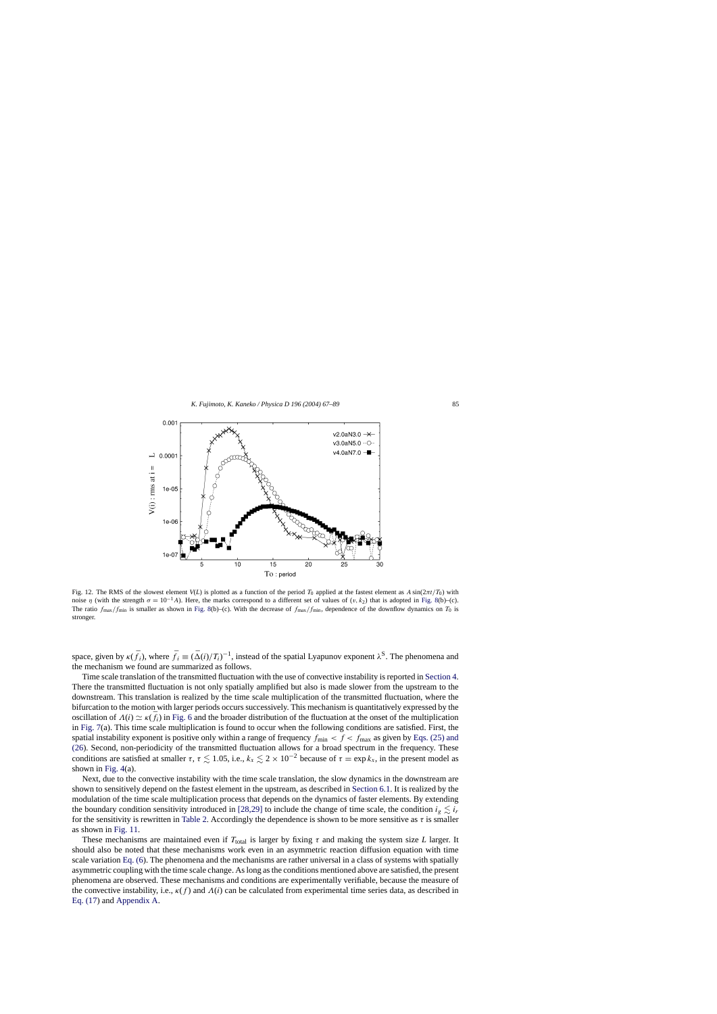<span id="page-18-0"></span>

Fig. 12. The RMS of the slowest element  $V(L)$  is plotted as a function of the period  $T_0$  applied at the fastest element as  $A \sin(2\pi t/T_0)$  with noise η (with the strength  $\sigma = 10^{-1}$ A). Here, the marks correspond to a different set of values of (v, k<sub>2</sub>) that is adopted in [Fig. 8\(b](#page-12-0))–(c). The ratio  $f_{\text{max}}/f_{\text{min}}$  is smaller as shown in [Fig. 8\(b](#page-12-0))–(c). With the decrease of  $f_{\text{max}}/f_{\text{min}}$ , dependence of the downflow dynamics on  $T_0$  is stronger.

space, given by  $\kappa(\bar{f}_i)$ , where  $\bar{f}_i \equiv (\bar{\Delta}(i)/T_i)^{-1}$ , instead of the spatial Lyapunov exponent  $\lambda^S$ . The phenomena and the mechanism we found are summarized as follows.

Time scale translation of the transmitted fluctuation with the use of convective instability is reported in [Section 4.](#page-7-0) There the transmitted fluctuation is not only spatially amplified but also is made slower from the upstream to the downstream. This translation is realized by the time scale multiplication of the transmitted fluctuation, where the bifurcation to the motion with larger periods occurs successively. This mechanism is quantitatively expressed by the oscillation of  $\Lambda(i) \simeq \kappa(\bar{f}_i)$  in [Fig. 6](#page-10-0) and the broader distribution of the fluctuation at the onset of the multiplication in [Fig. 7\(a](#page-11-0)). This time scale multiplication is found to occur when the following conditions are satisfied. First, the spatial instability exponent is positive only within a range of frequency  $f_{\text{min}} < f < f_{\text{max}}$  as given by [Eqs. \(25\) and](#page-13-0) (26). Second, non-periodicity of the transmitted fluctuation allows for a broad spectrum in the frequency. These conditions are satisfied at smaller  $\tau$ ,  $\tau \lesssim 1.05$ , i.e.,  $k_x \lesssim 2 \times 10^{-2}$  because of  $\tau = \exp k_x$ , in the present model as shown in [Fig. 4\(a](#page-8-0)).

Next, due to the convective instability with the time scale translation, the slow dynamics in the downstream are shown to sensitively depend on the fastest element in the upstream, as described in [Section 6.1. I](#page-14-0)t is realized by the modulation of the time scale multiplication process that depends on the dynamics of faster elements. By extending the boundary condition sensitivity introduced in [\[28,29\]](#page-22-0) to include the change of time scale, the condition  $i_g \lesssim i_r$ for the sensitivity is rewritten in [Table 2. A](#page-16-0)ccordingly the dependence is shown to be more sensitive as  $\tau$  is smaller as shown in [Fig. 11.](#page-17-0)

These mechanisms are maintained even if  $T_{total}$  is larger by fixing  $\tau$  and making the system size *L* larger. It should also be noted that these mechanisms work even in an asymmetric reaction diffusion equation with time scale variation [Eq. \(6\).](#page-3-0) The phenomena and the mechanisms are rather universal in a class of systems with spatially asymmetric coupling with the time scale change. As long as the conditions mentioned above are satisfied, the present phenomena are observed. These mechanisms and conditions are experimentally verifiable, because the measure of the convective instability, i.e.,  $\kappa(f)$  and  $\Lambda(i)$  can be calculated from experimental time series data, as described in [Eq. \(17\)](#page-5-0) and [Appendix A.](#page-20-0)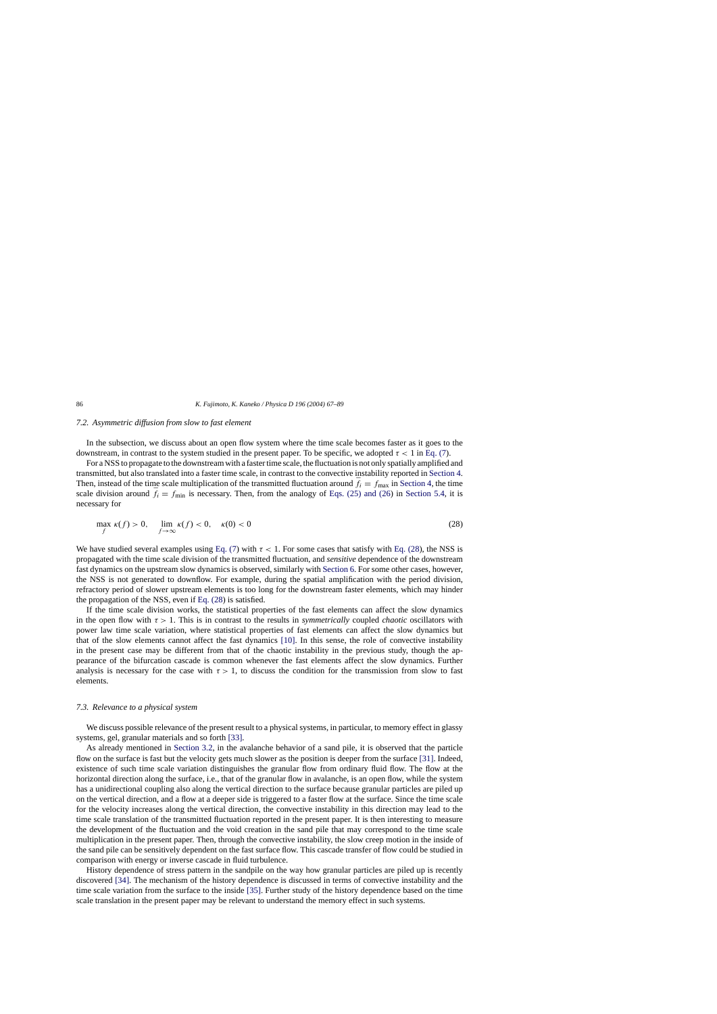## <span id="page-19-0"></span>*7.2. Asymmetric diffusion from slow to fast element*

In the subsection, we discuss about an open flow system where the time scale becomes faster as it goes to the downstream, in contrast to the system studied in the present paper. To be specific, we adopted  $\tau < 1$  in [Eq. \(7\).](#page-4-0)

For a NSS to propagate to the downstream with a faster time scale, the fluctuation is not only spatially amplified and transmitted, but also translated into a faster time scale, in contrast to the convective instability reported in [Section 4.](#page-7-0) Then, instead of the time scale multiplication of the transmitted fluctuation around  $\bar{f}_i = f_{\text{max}}$  in [Section 4, t](#page-7-0)he time scale division around  $\bar{f}_i = f_{\text{min}}$  is necessary. Then, from the analogy of [Eqs. \(25\) and \(26\)](#page-13-0) in [Section 5.4,](#page-13-0) it is necessary for

$$
\max_{f} \kappa(f) > 0, \quad \lim_{f \to \infty} \kappa(f) < 0, \quad \kappa(0) < 0 \tag{28}
$$

We have studied several examples using [Eq. \(7\)](#page-4-0) with  $\tau < 1$ . For some cases that satisfy with Eq. (28), the NSS is propagated with the time scale division of the transmitted fluctuation, and *sensitive* dependence of the downstream fast dynamics on the upstream slow dynamics is observed, similarly with [Section 6. F](#page-14-0)or some other cases, however, the NSS is not generated to downflow. For example, during the spatial amplification with the period division, refractory period of slower upstream elements is too long for the downstream faster elements, which may hinder the propagation of the NSS, even if Eq. (28) is satisfied.

If the time scale division works, the statistical properties of the fast elements can affect the slow dynamics in the open flow with  $\tau > 1$ . This is in contrast to the results in *symmetrically* coupled *chaotic* oscillators with power law time scale variation, where statistical properties of fast elements can affect the slow dynamics but that of the slow elements cannot affect the fast dynamics [\[10\].](#page-22-0) In this sense, the role of convective instability in the present case may be different from that of the chaotic instability in the previous study, though the appearance of the bifurcation cascade is common whenever the fast elements affect the slow dynamics. Further analysis is necessary for the case with  $\tau > 1$ , to discuss the condition for the transmission from slow to fast elements.

#### *7.3. Relevance to a physical system*

We discuss possible relevance of the present result to a physical systems, in particular, to memory effect in glassy systems, gel, granular materials and so forth [\[33\].](#page-22-0)

As already mentioned in [Section 3.2,](#page-4-0) in the avalanche behavior of a sand pile, it is observed that the particle flow on the surface is fast but the velocity gets much slower as the position is deeper from the surface [\[31\].](#page-22-0) Indeed, existence of such time scale variation distinguishes the granular flow from ordinary fluid flow. The flow at the horizontal direction along the surface, i.e., that of the granular flow in avalanche, is an open flow, while the system has a unidirectional coupling also along the vertical direction to the surface because granular particles are piled up on the vertical direction, and a flow at a deeper side is triggered to a faster flow at the surface. Since the time scale for the velocity increases along the vertical direction, the convective instability in this direction may lead to the time scale translation of the transmitted fluctuation reported in the present paper. It is then interesting to measure the development of the fluctuation and the void creation in the sand pile that may correspond to the time scale multiplication in the present paper. Then, through the convective instability, the slow creep motion in the inside of the sand pile can be sensitively dependent on the fast surface flow. This cascade transfer of flow could be studied in comparison with energy or inverse cascade in fluid turbulence.

History dependence of stress pattern in the sandpile on the way how granular particles are piled up is recently discovered [\[34\].](#page-22-0) The mechanism of the history dependence is discussed in terms of convective instability and the time scale variation from the surface to the inside [\[35\].](#page-22-0) Further study of the history dependence based on the time scale translation in the present paper may be relevant to understand the memory effect in such systems.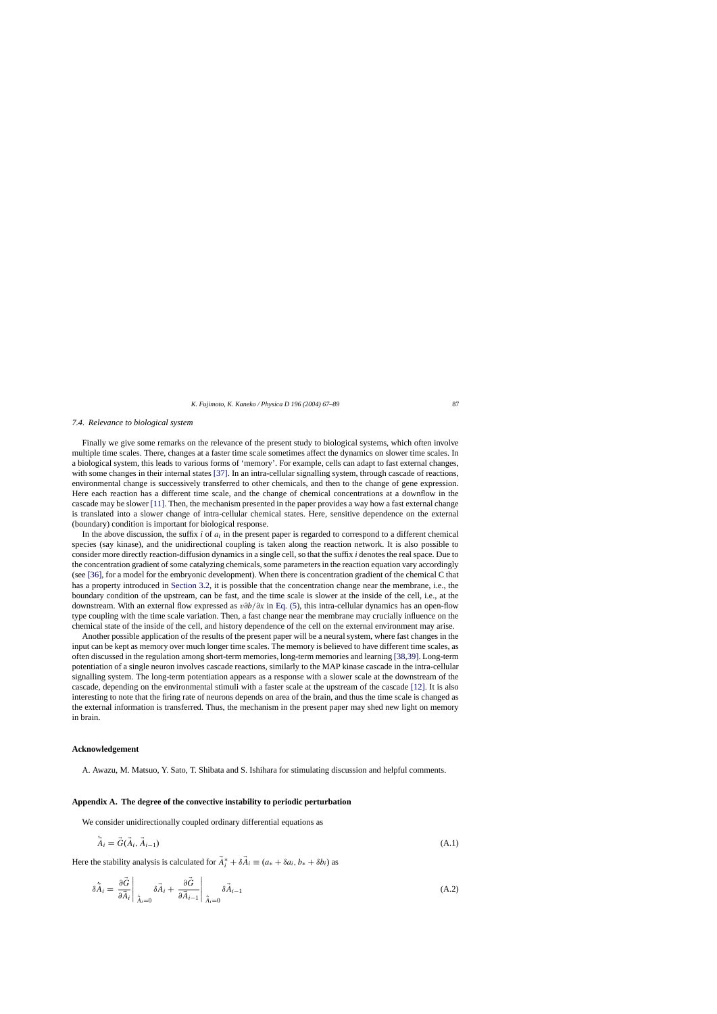## <span id="page-20-0"></span>*7.4. Relevance to biological system*

Finally we give some remarks on the relevance of the present study to biological systems, which often involve multiple time scales. There, changes at a faster time scale sometimes affect the dynamics on slower time scales. In a biological system, this leads to various forms of 'memory'. For example, cells can adapt to fast external changes, with some changes in their internal states [\[37\].](#page-22-0) In an intra-cellular signalling system, through cascade of reactions, environmental change is successively transferred to other chemicals, and then to the change of gene expression. Here each reaction has a different time scale, and the change of chemical concentrations at a downflow in the cascade may be slower [\[11\].](#page-22-0) Then, the mechanism presented in the paper provides a way how a fast external change is translated into a slower change of intra-cellular chemical states. Here, sensitive dependence on the external (boundary) condition is important for biological response.

In the above discussion, the suffix  $i$  of  $a_i$  in the present paper is regarded to correspond to a different chemical species (say kinase), and the unidirectional coupling is taken along the reaction network. It is also possible to consider more directly reaction-diffusion dynamics in a single cell, so that the suffix *i* denotes the real space. Due to the concentration gradient of some catalyzing chemicals, some parameters in the reaction equation vary accordingly (see [\[36\],](#page-22-0) for a model for the embryonic development). When there is concentration gradient of the chemical C that has a property introduced in [Section 3.2,](#page-4-0) it is possible that the concentration change near the membrane, i.e., the boundary condition of the upstream, can be fast, and the time scale is slower at the inside of the cell, i.e., at the downstream. With an external flow expressed as v∂b/∂x in [Eq. \(5\),](#page-3-0) this intra-cellular dynamics has an open-flow type coupling with the time scale variation. Then, a fast change near the membrane may crucially influence on the chemical state of the inside of the cell, and history dependence of the cell on the external environment may arise.

Another possible application of the results of the present paper will be a neural system, where fast changes in the input can be kept as memory over much longer time scales. The memory is believed to have different time scales, as often discussed in the regulation among short-term memories, long-term memories and learning [\[38,39\]. L](#page-22-0)ong-term potentiation of a single neuron involves cascade reactions, similarly to the MAP kinase cascade in the intra-cellular signalling system. The long-term potentiation appears as a response with a slower scale at the downstream of the cascade, depending on the environmental stimuli with a faster scale at the upstream of the cascade [\[12\].](#page-22-0) It is also interesting to note that the firing rate of neurons depends on area of the brain, and thus the time scale is changed as the external information is transferred. Thus, the mechanism in the present paper may shed new light on memory in brain.

## **Acknowledgement**

A. Awazu, M. Matsuo, Y. Sato, T. Shibata and S. Ishihara for stimulating discussion and helpful comments.

#### **Appendix A. The degree of the convective instability to periodic perturbation**

We consider unidirectionally coupled ordinary differential equations as

$$
\ddot{\vec{A}}_i = \vec{G}(\vec{A}_i, \vec{A}_{i-1}) \tag{A.1}
$$

Here the stability analysis is calculated for  $\vec{A}_i^* + \delta \vec{A}_i \equiv (a_* + \delta a_i, b_* + \delta b_i)$  as

$$
\delta \dot{\vec{A}}_i = \frac{\partial \vec{G}}{\partial \vec{A}_i} \bigg|_{\dot{\vec{A}}_i = 0} \delta \vec{A}_i + \frac{\partial \vec{G}}{\partial \vec{A}_{i-1}} \bigg|_{\dot{\vec{A}}_i = 0} \delta \vec{A}_{i-1}
$$
\n(A.2)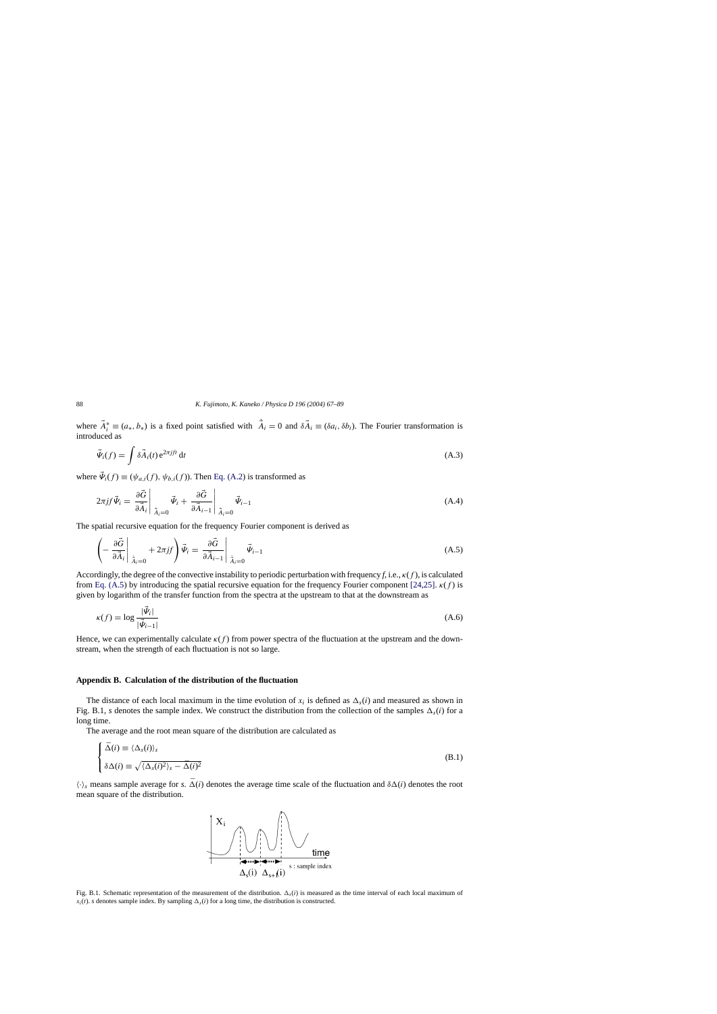<span id="page-21-0"></span>where  $\vec{A}_i^* \equiv (a_*, b_*)$  is a fixed point satisfied with  $\dot{A}_i = 0$  and  $\delta \vec{A}_i \equiv (\delta a_i, \delta b_i)$ . The Fourier transformation is introduced as

$$
\vec{\Psi}_i(f) = \int \delta \vec{A}_i(t) e^{2\pi jft} dt
$$
\n(A.3)

where  $\vec{\Psi}_i(f) \equiv (\psi_{a,i}(f), \psi_{b,i}(f))$ . Then [Eq. \(A.2\)](#page-20-0) is transformed as

$$
2\pi j f \vec{\Psi}_i = \frac{\partial \vec{G}}{\partial \vec{A}_i} \bigg|_{\dot{\vec{A}}_i=0} \vec{\Psi}_i + \frac{\partial \vec{G}}{\partial \vec{A}_{i-1}} \bigg|_{\dot{\vec{A}}_i=0} \vec{\Psi}_{i-1}
$$
\n(A.4)

The spatial recursive equation for the frequency Fourier component is derived as

$$
\left(-\frac{\partial \vec{G}}{\partial \vec{A}_i}\bigg|_{\dot{\vec{A}}_i=0} + 2\pi j f\right) \vec{\Psi}_i = \left.\frac{\partial \vec{G}}{\partial \vec{A}_{i-1}}\right|_{\dot{\vec{A}}_i=0} \vec{\Psi}_{i-1}
$$
\n(A.5)

Accordingly, the degree of the convective instability to periodic perturbation with frequency  $f$ , i.e.,  $\kappa(f)$ , is calculated from Eq. (A.5) by introducing the spatial recursive equation for the frequency Fourier component [\[24,25\].](#page-22-0)  $\kappa(f)$  is given by logarithm of the transfer function from the spectra at the upstream to that at the downstream as

$$
\kappa(f) = \log \frac{|\vec{\Psi}_i|}{|\vec{\Psi}_{i-1}|} \tag{A.6}
$$

Hence, we can experimentally calculate  $\kappa(f)$  from power spectra of the fluctuation at the upstream and the downstream, when the strength of each fluctuation is not so large.

#### **Appendix B. Calculation of the distribution of the fluctuation**

The distance of each local maximum in the time evolution of  $x_i$  is defined as  $\Delta_s(i)$  and measured as shown in Fig. B.1, *s* denotes the sample index. We construct the distribution from the collection of the samples  $\Delta_s(i)$  for a long time.

The average and the root mean square of the distribution are calculated as

$$
\begin{cases}\n\bar{\Delta}(i) \equiv \langle \Delta_s(i) \rangle_s \\
\delta \Delta(i) \equiv \sqrt{\langle \Delta_s(i)^2 \rangle_s - \bar{\Delta}(i)^2}\n\end{cases}
$$
\n(B.1)

 $\langle \cdot \rangle_s$  means sample average for *s*.  $\bar{\Delta}(i)$  denotes the average time scale of the fluctuation and  $\delta\Delta(i)$  denotes the root mean square of the distribution.



Fig. B.1. Schematic representation of the measurement of the distribution.  $\Delta_s(i)$  is measured as the time interval of each local maximum of  $x_i(t)$ . *s* denotes sample index. By sampling  $\Delta_s(i)$  for a long time, the distribution is constructed.